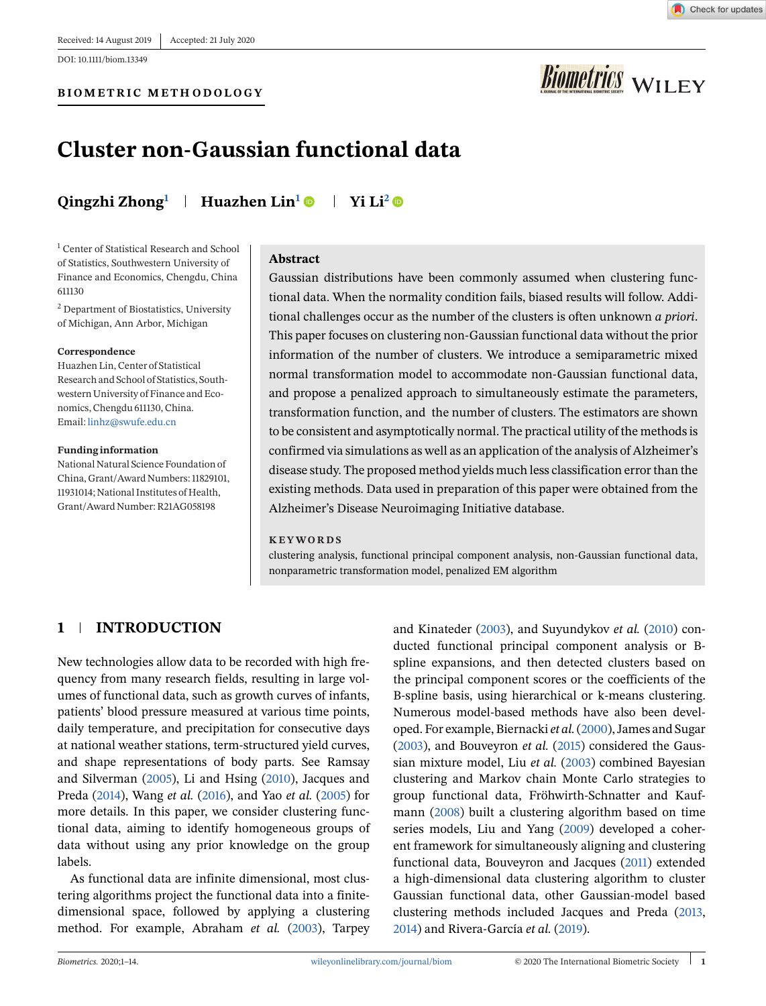DOI: 10.1111/biom.13349

#### **BIOMETRIC METHODOLOGY**



# **Biometrics** WILEY

# **Cluster non-Gaussian functional data**

**Qingzhi Zhong<sup>1</sup> Huazhen Lin1 Yi Li2**

<sup>1</sup> Center of Statistical Research and School of Statistics, Southwestern University of Finance and Economics, Chengdu, China 611130

<sup>2</sup> Department of Biostatistics, University of Michigan, Ann Arbor, Michigan

#### **Correspondence**

Huazhen Lin, Center of Statistical Research and School of Statistics, Southwestern University of Finance and Economics, Chengdu 611130, China. Email: [linhz@swufe.edu.cn](mailto:linhz@swufe.edu.cn)

#### **Funding information**

National Natural Science Foundation of China, Grant/Award Numbers: 11829101, 11931014; National Institutes of Health, Grant/Award Number: R21AG058198

#### **Abstract**

Gaussian distributions have been commonly assumed when clustering functional data. When the normality condition fails, biased results will follow. Additional challenges occur as the number of the clusters is often unknown *a priori*. This paper focuses on clustering non-Gaussian functional data without the prior information of the number of clusters. We introduce a semiparametric mixed normal transformation model to accommodate non-Gaussian functional data, and propose a penalized approach to simultaneously estimate the parameters, transformation function, and the number of clusters. The estimators are shown to be consistent and asymptotically normal. The practical utility of the methods is confirmed via simulations as well as an application of the analysis of Alzheimer's disease study. The proposed method yields much less classification error than the existing methods. Data used in preparation of this paper were obtained from the Alzheimer's Disease Neuroimaging Initiative database.

#### **KEYWORDS**

clustering analysis, functional principal component analysis, non-Gaussian functional data, nonparametric transformation model, penalized EM algorithm

# **1 INTRODUCTION**

New technologies allow data to be recorded with high frequency from many research fields, resulting in large volumes of functional data, such as growth curves of infants, patients' blood pressure measured at various time points, daily temperature, and precipitation for consecutive days at national weather stations, term-structured yield curves, and shape representations of body parts. See Ramsay and Silverman (2005), Li and Hsing (2010), Jacques and Preda (2014), Wang *et al.* (2016), and Yao *et al.* (2005) for more details. In this paper, we consider clustering functional data, aiming to identify homogeneous groups of data without using any prior knowledge on the group labels.

As functional data are infinite dimensional, most clustering algorithms project the functional data into a finitedimensional space, followed by applying a clustering method. For example, Abraham *et al.* (2003), Tarpey

and Kinateder (2003), and Suyundykov *et al.* (2010) conducted functional principal component analysis or Bspline expansions, and then detected clusters based on the principal component scores or the coefficients of the B-spline basis, using hierarchical or k-means clustering. Numerous model-based methods have also been developed. For example, Biernacki *et al.*(2000), James and Sugar (2003), and Bouveyron *et al.* (2015) considered the Gaussian mixture model, Liu *et al.* (2003) combined Bayesian clustering and Markov chain Monte Carlo strategies to group functional data, Fröhwirth-Schnatter and Kaufmann (2008) built a clustering algorithm based on time series models, Liu and Yang (2009) developed a coherent framework for simultaneously aligning and clustering functional data, Bouveyron and Jacques (2011) extended a high-dimensional data clustering algorithm to cluster Gaussian functional data, other Gaussian-model based clustering methods included Jacques and Preda (2013, 2014) and Rivera-García *et al.* (2019).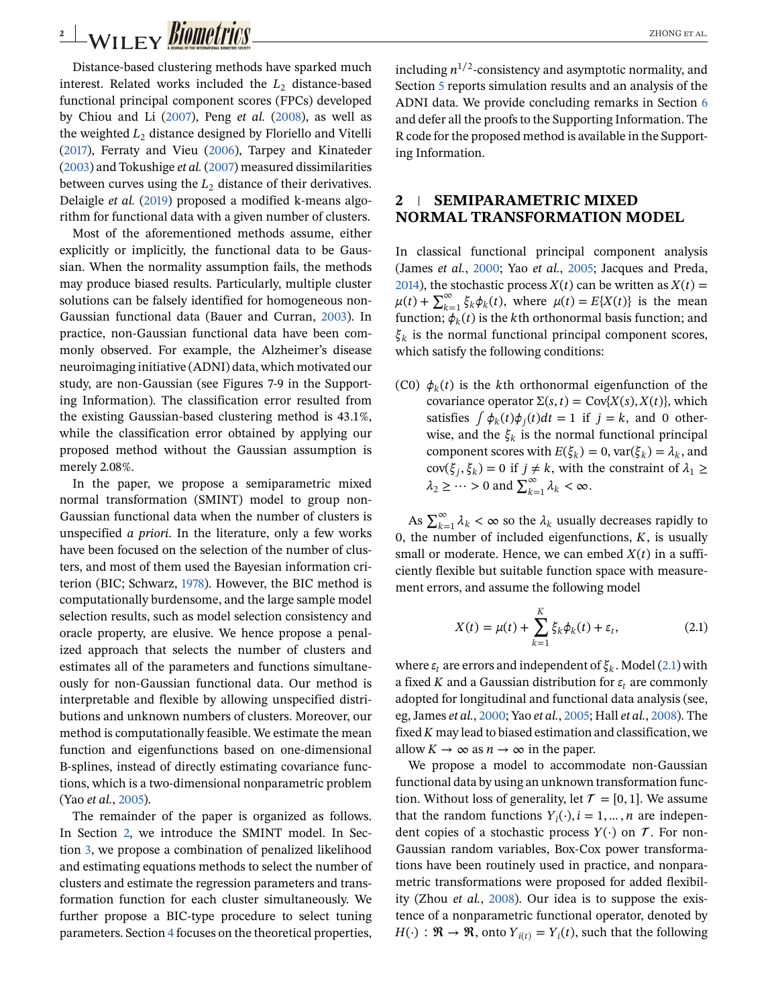# <span id="page-1-0"></span>**2** WILEY **BIOMETTICS**

Distance-based clustering methods have sparked much interest. Related works included the  $L_2$  distance-based functional principal component scores (FPCs) developed by Chiou and Li (2007), Peng *et al.* (2008), as well as the weighted  $L_2$  distance designed by Floriello and Vitelli (2017), Ferraty and Vieu (2006), Tarpey and Kinateder (2003) and Tokushige *et al.* (2007) measured dissimilarities between curves using the  $L_2$  distance of their derivatives. Delaigle *et al.* (2019) proposed a modified k-means algorithm for functional data with a given number of clusters.

Most of the aforementioned methods assume, either explicitly or implicitly, the functional data to be Gaussian. When the normality assumption fails, the methods may produce biased results. Particularly, multiple cluster solutions can be falsely identified for homogeneous non-Gaussian functional data (Bauer and Curran, 2003). In practice, non-Gaussian functional data have been commonly observed. For example, the Alzheimer's disease neuroimaging initiative (ADNI) data, which motivated our study, are non-Gaussian (see Figures 7-9 in the Supporting Information). The classification error resulted from the existing Gaussian-based clustering method is 43.1%, while the classification error obtained by applying our proposed method without the Gaussian assumption is merely 2.08%.

In the paper, we propose a semiparametric mixed normal transformation (SMINT) model to group non-Gaussian functional data when the number of clusters is unspecified *a priori*. In the literature, only a few works have been focused on the selection of the number of clusters, and most of them used the Bayesian information criterion (BIC; Schwarz, 1978). However, the BIC method is computationally burdensome, and the large sample model selection results, such as model selection consistency and oracle property, are elusive. We hence propose a penalized approach that selects the number of clusters and estimates all of the parameters and functions simultaneously for non-Gaussian functional data. Our method is interpretable and flexible by allowing unspecified distributions and unknown numbers of clusters. Moreover, our method is computationally feasible. We estimate the mean function and eigenfunctions based on one-dimensional B-splines, instead of directly estimating covariance functions, which is a two-dimensional nonparametric problem (Yao *et al.*, 2005).

The remainder of the paper is organized as follows. In Section 2, we introduce the SMINT model. In Section [3,](#page-2-0) we propose a combination of penalized likelihood and estimating equations methods to select the number of clusters and estimate the regression parameters and transformation function for each cluster simultaneously. We further propose a BIC-type procedure to select tuning parameters. Section [4](#page-5-0) focuses on the theoretical properties, including  $n^{1/2}$ -consistency and asymptotic normality, and Section [5](#page-6-0) reports simulation results and an analysis of the ADNI data. We provide concluding remarks in Section [6](#page-9-0) and defer all the proofs to the Supporting Information. The R code for the proposed method is available in the Supporting Information.

### **2 SEMIPARAMETRIC MIXED NORMAL TRANSFORMATION MODEL**

In classical functional principal component analysis (James *et al.*, 2000; Yao *et al.*, 2005; Jacques and Preda, 2014), the stochastic process  $X(t)$  can be written as  $X(t) =$  $\mu(t) + \sum_{k=1}^{\infty} \xi_k \phi_k(t)$ , where  $\mu(t) = E\{X(t)\}$  is the mean function;  $\phi_k(t)$  is the kth orthonormal basis function; and  $\xi_k$  is the normal functional principal component scores, which satisfy the following conditions:

(C0)  $\phi_k(t)$  is the kth orthonormal eigenfunction of the covariance operator  $\Sigma(s, t) = \text{Cov}\{X(s), X(t)\}\)$ , which satisfies  $\int \phi_k(t) \phi_i(t) dt = 1$  if  $j = k$ , and 0 otherwise, and the  $\xi_k$  is the normal functional principal component scores with  $E(\xi_k)=0$ , var $(\xi_k)=\lambda_k$ , and  $cov(\xi_j, \xi_k) = 0$  if  $j \neq k$ , with the constraint of  $\lambda_1 \geq$  $\lambda_2 \geq \cdots > 0$  and  $\sum_{k=1}^{\infty} \lambda_k < \infty$ .

As  $\sum_{k=1}^{\infty} \lambda_k < \infty$  so the  $\lambda_k$  usually decreases rapidly to 0, the number of included eigenfunctions,  $K$ , is usually small or moderate. Hence, we can embed  $X(t)$  in a sufficiently flexible but suitable function space with measurement errors, and assume the following model

$$
X(t) = \mu(t) + \sum_{k=1}^{K} \xi_k \phi_k(t) + \varepsilon_t,
$$
\n(2.1)

where  $\varepsilon_t$  are errors and independent of  $\xi_k$ . Model (2.1) with a fixed K and a Gaussian distribution for  $\varepsilon_t$  are commonly adopted for longitudinal and functional data analysis (see, eg, James *et al.*, 2000; Yao *et al.*, 2005; Hall *et al.*, 2008). The fixed  $K$  may lead to biased estimation and classification, we allow  $K \to \infty$  as  $n \to \infty$  in the paper.

We propose a model to accommodate non-Gaussian functional data by using an unknown transformation function. Without loss of generality, let  $\mathcal{T} = [0, 1]$ . We assume that the random functions  $Y_i(\cdot), i = 1, \dots, n$  are independent copies of a stochastic process  $Y(\cdot)$  on  $\mathcal T$ . For non-Gaussian random variables, Box-Cox power transformations have been routinely used in practice, and nonparametric transformations were proposed for added flexibility (Zhou *et al.*, 2008). Our idea is to suppose the existence of a nonparametric functional operator, denoted by  $H(\cdot) : \mathfrak{R} \to \mathfrak{R}$ , onto  $Y_{i(t)} = Y_i(t)$ , such that the following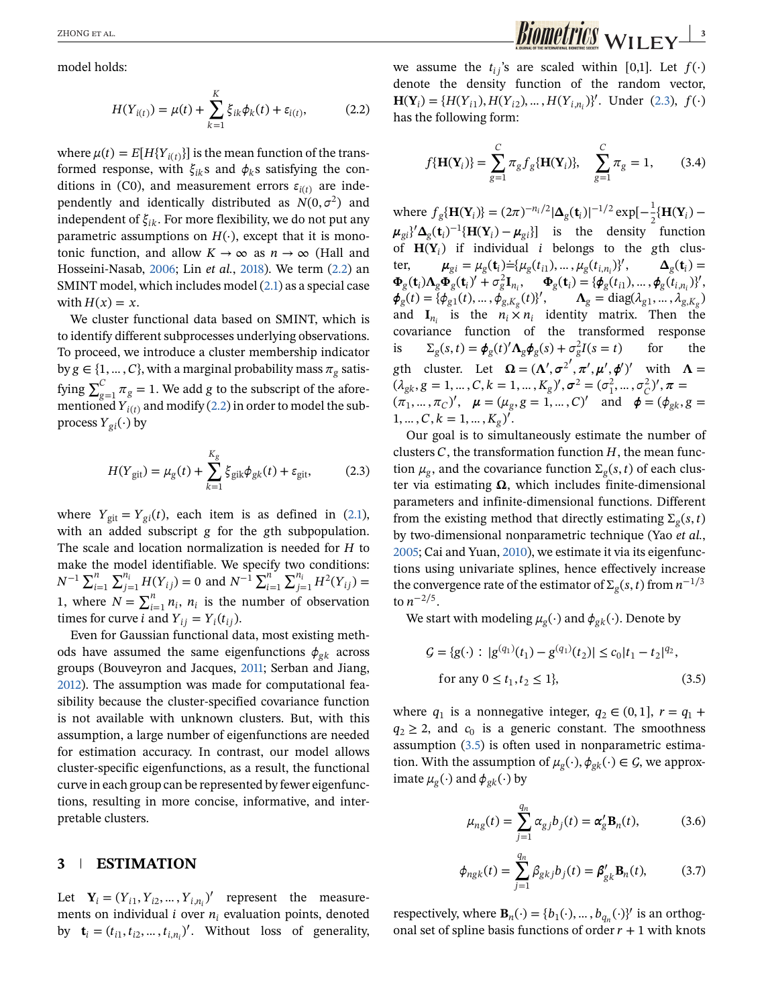<span id="page-2-0"></span>model holds:

$$
H(Y_{i(t)}) = \mu(t) + \sum_{k=1}^{K} \xi_{ik} \phi_k(t) + \varepsilon_{i(t)},
$$
 (2.2)

where  $\mu(t) = E[H{Y_{i(t)}}]$  is the mean function of the transformed response, with  $\xi_{ik}$ s and  $\phi_k$ s satisfying the conditions in (C0), and measurement errors  $\varepsilon_{i(t)}$  are independently and identically distributed as  $N(0, \sigma^2)$  and independent of  $\xi_{ik}$ . For more flexibility, we do not put any parametric assumptions on  $H(\cdot)$ , except that it is monotonic function, and allow  $K \to \infty$  as  $n \to \infty$  (Hall and Hosseini-Nasab, 2006; Lin *et al.*, 2018). We term (2.2) an SMINT model, which includes model [\(2.1\)](#page-1-0) as a special case with  $H(x) = x$ .

We cluster functional data based on SMINT, which is to identify different subprocesses underlying observations. To proceed, we introduce a cluster membership indicator by  $g \in \{1, ..., C\}$ , with a marginal probability mass  $\pi_g$  satisfying  $\sum_{g=1}^{C} \pi_g = 1$ . We add g to the subscript of the aforementioned  $Y_{i(t)}$  and modify (2.2) in order to model the subprocess  $Y_{gi}(\cdot)$  by

$$
H(Y_{\text{git}}) = \mu_{g}(t) + \sum_{k=1}^{K_{g}} \xi_{\text{gik}} \phi_{gk}(t) + \varepsilon_{\text{git}}, \qquad (2.3)
$$

where  $Y_{\text{git}} = Y_{\text{gi}}(t)$ , each item is as defined in [\(2.1\)](#page-1-0), with an added subscript  $g$  for the  $g$ th subpopulation. The scale and location normalization is needed for  $H$  to make the model identifiable. We specify two conditions:  $N^{-1}$   $\sum_{i=1}^{n}$ model definition. We specify<br> $\sum_{j=1}^{n_i} H(Y_{ij}) = 0$  and  $N^{-1} \sum_{i=1}^{n_i}$  $\sum_{j=1}^{n_i} H^2(Y_{ij}) =$ 1, where  $N = \sum_{i=1}^{n} n_i$ ,  $n_i$  is the number of observation times for curve *i* and  $Y_{ij} = Y_i(t_{ij}).$ 

Even for Gaussian functional data, most existing methods have assumed the same eigenfunctions  $\phi_{gk}$  across groups (Bouveyron and Jacques, 2011; Serban and Jiang, 2012). The assumption was made for computational feasibility because the cluster-specified covariance function is not available with unknown clusters. But, with this assumption, a large number of eigenfunctions are needed for estimation accuracy. In contrast, our model allows cluster-specific eigenfunctions, as a result, the functional curve in each group can be represented by fewer eigenfunctions, resulting in more concise, informative, and interpretable clusters.

#### **3 ESTIMATION**

Let  $\mathbf{Y}_i = (Y_{i1}, Y_{i2}, \dots, Y_{i,n_i})'$  represent the measurements on individual  $i$  over  $n_i$  evaluation points, denoted by  $\mathbf{t}_i = (t_{i1}, t_{i2}, \dots, t_{i,n_i})'$ . Without loss of generality,

we assume the  $t_{ij}$ 's are scaled within [0,1]. Let  $f(\cdot)$ denote the density function of the random vector,  $\mathbf{H}(\mathbf{Y}_i) = \{H(Y_{i1}), H(Y_{i2}), \dots, H(Y_{i,n_i})\}^{\prime}$ . Under (2.3),  $f(\cdot)$ has the following form:

$$
f\{\mathbf{H}(\mathbf{Y}_i)\} = \sum_{g=1}^{C} \pi_g f_g\{\mathbf{H}(\mathbf{Y}_i)\}, \quad \sum_{g=1}^{C} \pi_g = 1,
$$
 (3.4)

where  $f_g\{\mathbf{H}(\mathbf{Y}_i)\} = (2\pi)^{-n_i/2} |\mathbf{\Delta}_g(\mathbf{t}_i)|^{-1/2} \exp[-\frac{1}{2}\{\mathbf{H}(\mathbf{Y}_i) - \frac{1}{2}\mathbf{H}(\mathbf{Y}_i)\}]$  $\mu_{gi}$ <sup>2</sup> $\Delta_g(t_i)^{-1}$ {**H**(**Y**<sub>i</sub>) −  $\mu_{gi}$ }] is the density function of  $H(Y_i)$  if individual *i* belongs to the gth cluster,  $\mu_{gi} = \mu_g(t_i) = {\mu_g(t_{i1}), ..., \mu_g(t_{i,n_i})}$  $\mathbf{\Delta}_{\sigma}(\mathbf{t}_i) =$  $\Phi_{g}(\mathbf{t}_{i})\Lambda_{g}\Phi_{g}(\mathbf{t}_{i})' + \sigma_{g}^{2}\mathbf{I}_{n_{i}}, \quad \Phi_{g}(\mathbf{t}_{i}) = {\phi_{g}(t_{i1}), ..., \phi_{g}(t_{i,n_{i}})}'$  $\phi_g(t) = {\phi_{g1}(t), \dots, \phi_{g,K_g}(t)}', \qquad \Lambda_g = \text{diag}(\lambda_{g1}, \dots, \lambda_{g,K_g})$ and  $\mathbf{I}_{n_i}$  is the  $n_i \times n_i$  identity matrix. Then the covariance function of the transformed response is  $\Sigma_g(s,t) = \phi_g(t)'\Lambda_g\phi_g(s) + \sigma_g^2I(s = t)$  for the gth cluster. Let  $\Omega = (\Lambda', \sigma^{2'}, \pi', \mu', \phi')'$  with  $\Lambda =$  $(\lambda_{gk}, g = 1, ..., C, k = 1, ..., K_g)'$ ,  $\sigma^2 = (\sigma_1^2, ..., \sigma_C^2)'$ ,  $\pi =$  $(\pi_1, ..., \pi_C)'$ ,  $\mu = (\mu_g, g = 1, ..., C)'$  and  $\phi = (\phi_{gk}, g =$  $1, \ldots, C, k = 1, \ldots, K_g)'$ .

Our goal is to simultaneously estimate the number of clusters  $C$ , the transformation function  $H$ , the mean function  $\mu_{\varrho}$ , and the covariance function  $\Sigma_{\varrho}(s, t)$  of each cluster via estimating  $\Omega$ , which includes finite-dimensional parameters and infinite-dimensional functions. Different from the existing method that directly estimating  $\Sigma_{\alpha}(s, t)$ by two-dimensional nonparametric technique (Yao *et al.*, 2005; Cai and Yuan, 2010), we estimate it via its eigenfunctions using univariate splines, hence effectively increase the convergence rate of the estimator of  $\Sigma_{g}(s, t)$  from  $n^{-1/3}$ to  $n^{-2/5}$ .

We start with modeling  $\mu_{\varrho}(\cdot)$  and  $\phi_{\varrho k}(\cdot)$ . Denote by

$$
G = \{g(\cdot) : |g^{(q_1)}(t_1) - g^{(q_1)}(t_2)| \le c_0 |t_1 - t_2|^{q_2},
$$
  
for any  $0 \le t_1, t_2 \le 1\}$ , (3.5)

where  $q_1$  is a nonnegative integer,  $q_2 \in (0, 1]$ ,  $r = q_1 +$  $q_2 \geq 2$ , and  $c_0$  is a generic constant. The smoothness assumption (3.5) is often used in nonparametric estimation. With the assumption of  $\mu_g(\cdot), \phi_{gk}(\cdot) \in \mathcal{G}$ , we approximate  $\mu_{\rm g}(\cdot)$  and  $\phi_{\rm g}(\cdot)$  by

$$
\mu_{ng}(t) = \sum_{j=1}^{q_n} \alpha_{gj} b_j(t) = \alpha'_g \mathbf{B}_n(t), \tag{3.6}
$$

$$
\phi_{ngk}(t) = \sum_{j=1}^{q_n} \beta_{gkj} b_j(t) = \beta'_{gk} \mathbf{B}_n(t), \quad (3.7)
$$

respectively, where  $\mathbf{B}_n(\cdot) = \{b_1(\cdot), \dots, b_{q_n}(\cdot)\}^{\prime}$  is an orthogonal set of spline basis functions of order  $r + 1$  with knots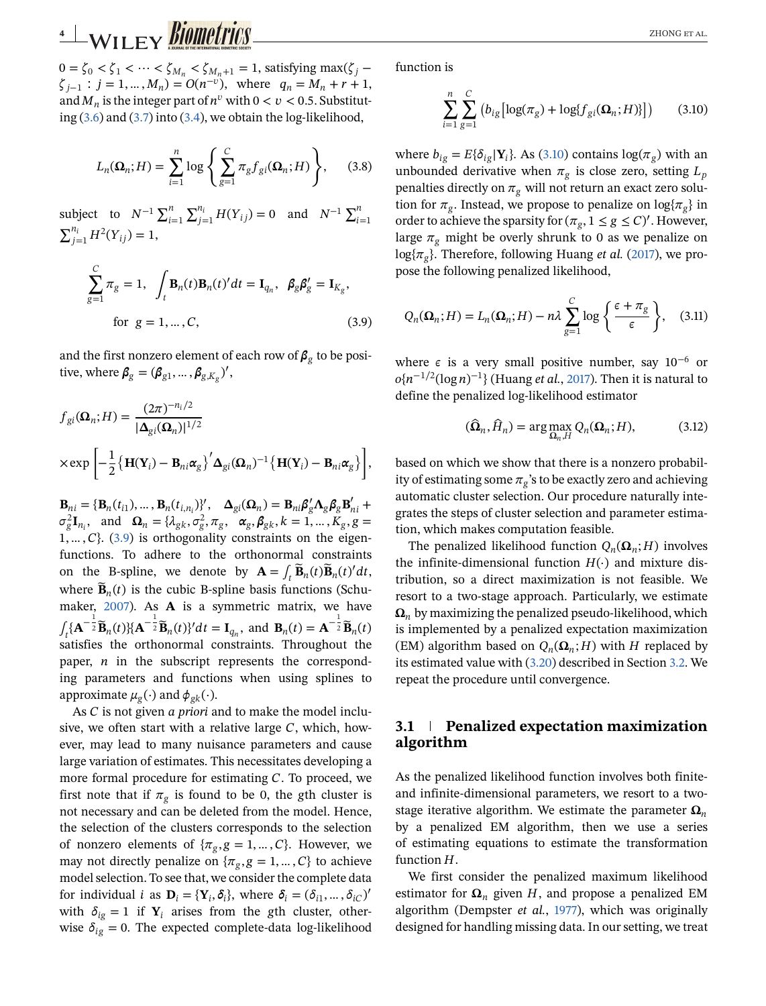# <span id="page-3-0"></span>**4** WILEY **BIOMETTICS**

 $0=\zeta_0<\zeta_1<\cdots<\zeta_{M_n}<\zeta_{M_n+1}=1$ , satisfying max( $\zeta_i$  –  $\zeta_{i-1}$  :  $j = 1, ..., M_n$ ) =  $O(n^{-v})$ , where  $q_n = M_n + r + 1$ , and  $M_n$  is the integer part of  $n^v$  with  $0 < v < 0.5$ . Substituting [\(3.6\)](#page-2-0) and [\(3.7\)](#page-2-0) into [\(3.4\)](#page-2-0), we obtain the log-likelihood,

$$
L_n(\Omega_n; H) = \sum_{i=1}^n \log \left\{ \sum_{g=1}^C \pi_g f_{gi}(\Omega_n; H) \right\}, \quad (3.8)
$$

subject to  $N^{-1} \sum_{i=1}^{n}$  $\sum_{j=1}^{n_i} H(Y_{ij}) = 0$  and  $N^{-1} \sum_{i=1}^{n}$  $\sum_{j=1}^{n_i} H^2(Y_{ij}) = 1,$ 

$$
\sum_{g=1}^{C} \pi_g = 1, \quad \int_t \mathbf{B}_n(t) \mathbf{B}_n(t)' dt = \mathbf{I}_{q_n}, \quad \beta_g \beta'_g = \mathbf{I}_{K_g},
$$
  
for  $g = 1, ..., C,$  (3.9)

and the first nonzero element of each row of  $\beta_g$  to be positive, where  $\beta_g = (\beta_{g1}, \dots, \beta_{g,K_g})'$ ,

$$
f_{gi}(\mathbf{\Omega}_n; H) = \frac{(2\pi)^{-n_i/2}}{|\mathbf{\Delta}_{gi}(\mathbf{\Omega}_n)|^{1/2}}
$$
  
 
$$
\times \exp \left[ -\frac{1}{2} \{ \mathbf{H}(\mathbf{Y}_i) - \mathbf{B}_{ni} \alpha_g \}^{\prime} \mathbf{\Delta}_{gi}(\mathbf{\Omega}_n)^{-1} \{ \mathbf{H}(\mathbf{Y}_i) - \mathbf{B}_{ni} \alpha_g \} \right],
$$

**,**  $\Delta_{gi}(\Omega_n) = {\bf B}_{ni} \beta'_{g} \Lambda_{g} \beta_{g} {\bf B}'_{ni} +$  $\sigma_g^2 \mathbf{I}_{n_i}$ , and  $\mathbf{\Omega}_n = {\lambda_{gk}, \sigma_g^2, \pi_g, \sigma_g, \sigma_g, \beta_{gk}, k = 1, ..., K_g, g = \sigma_g^2}$  $1, \ldots, C$ . (3.9) is orthogonality constraints on the eigenfunctions. To adhere to the orthonormal constraints on the B-spline, we denote by  $\mathbf{A} = \int_t \mathbf{\tilde{B}}_n(t) \mathbf{\tilde{B}}_n(t)' dt$ , where  $\widetilde{\mathbf{B}}_n(t)$  is the cubic B-spline basis functions (Schumaker, 2007). As **A** is a symmetric matrix, we have  $\int_t \{\mathbf{A}^{-\frac{1}{2}}\mathbf{\widetilde{B}}_n(t)\}\{\mathbf{A}^{-\frac{1}{2}}\mathbf{\widetilde{B}}_n(t)\}\ dt = \mathbf{I}_{q_n}$ , and  $\mathbf{B}_n(t) = \mathbf{A}^{-\frac{1}{2}}\mathbf{\widetilde{B}}_n(t)$ satisfies the orthonormal constraints. Throughout the paper,  $n$  in the subscript represents the corresponding parameters and functions when using splines to approximate  $\mu_{\rm g}(\cdot)$  and  $\phi_{\rm gk}(\cdot)$ .

As *C* is not given *a priori* and to make the model inclusive, we often start with a relative large  $C$ , which, however, may lead to many nuisance parameters and cause large variation of estimates. This necessitates developing a more formal procedure for estimating  $C$ . To proceed, we first note that if  $\pi_{g}$  is found to be 0, the gth cluster is not necessary and can be deleted from the model. Hence, the selection of the clusters corresponds to the selection of nonzero elements of  $\{\pi_g, g = 1, \dots, C\}$ . However, we may not directly penalize on  $\{\pi_g, g = 1, ..., C\}$  to achieve model selection. To see that, we consider the complete data for individual *i* as  $\mathbf{D}_i = {\mathbf{Y}_i, \delta_i}$ , where  $\delta_i = (\delta_{i1}, \dots, \delta_{iC})'$ with  $\delta_{ig} = 1$  if  $Y_i$  arises from the gth cluster, otherwise  $\delta_{ig} = 0$ . The expected complete-data log-likelihood function is

$$
\sum_{i=1}^{n} \sum_{g=1}^{C} (b_{ig} [\log(\pi_g) + \log\{f_{gi}(\Omega_n; H)\}])
$$
 (3.10)

where  $b_{i\varrho} = E\{\delta_{i\varrho} | \mathbf{Y}_i\}$ . As (3.10) contains  $\log(\pi_{\varrho})$  with an unbounded derivative when  $\pi_g$  is close zero, setting  $L_p$ penalties directly on  $\pi_{g}$  will not return an exact zero solution for  $\pi_{g}$ . Instead, we propose to penalize on log{ $\pi_{g}$ } in order to achieve the sparsity for  $(\pi_g, 1 \le g \le C)'$ . However, large  $\pi_{\varrho}$  might be overly shrunk to 0 as we penalize on  $log{\{\pi_{g}\}}$ . Therefore, following Huang *et al.* (2017), we propose the following penalized likelihood,

$$
Q_n(\Omega_n; H) = L_n(\Omega_n; H) - n\lambda \sum_{g=1}^C \log \left\{ \frac{\epsilon + \pi_g}{\epsilon} \right\}, \quad (3.11)
$$

where  $\epsilon$  is a very small positive number, say 10<sup>-6</sup> or  $o\{n^{-1/2}(\log n)^{-1}\}\$  (Huang *et al.*, 2017). Then it is natural to define the penalized log-likelihood estimator

$$
(\widehat{\mathbf{\Omega}}_n, \widehat{H}_n) = \arg \max_{\mathbf{\Omega}_n, H} Q_n(\mathbf{\Omega}_n; H), \tag{3.12}
$$

based on which we show that there is a nonzero probability of estimating some  $\pi_{\varrho}$ 's to be exactly zero and achieving automatic cluster selection. Our procedure naturally integrates the steps of cluster selection and parameter estimation, which makes computation feasible.

The penalized likelihood function  $Q_n(\Omega_n;H)$  involves the infinite-dimensional function  $H(·)$  and mixture distribution, so a direct maximization is not feasible. We resort to a two-stage approach. Particularly, we estimate  $\Omega_n$  by maximizing the penalized pseudo-likelihood, which is implemented by a penalized expectation maximization (EM) algorithm based on  $Q_n(\Omega_n; H)$  with H replaced by its estimated value with [\(3.20\)](#page-5-0) described in Section [3.2.](#page-4-0) We repeat the procedure until convergence.

### **3.1 Penalized expectation maximization algorithm**

As the penalized likelihood function involves both finiteand infinite-dimensional parameters, we resort to a twostage iterative algorithm. We estimate the parameter  $\Omega_n$ by a penalized EM algorithm, then we use a series of estimating equations to estimate the transformation function  $H$ .

We first consider the penalized maximum likelihood estimator for  $\Omega_n$  given H, and propose a penalized EM algorithm (Dempster *et al.*, 1977), which was originally designed for handling missing data. In our setting, we treat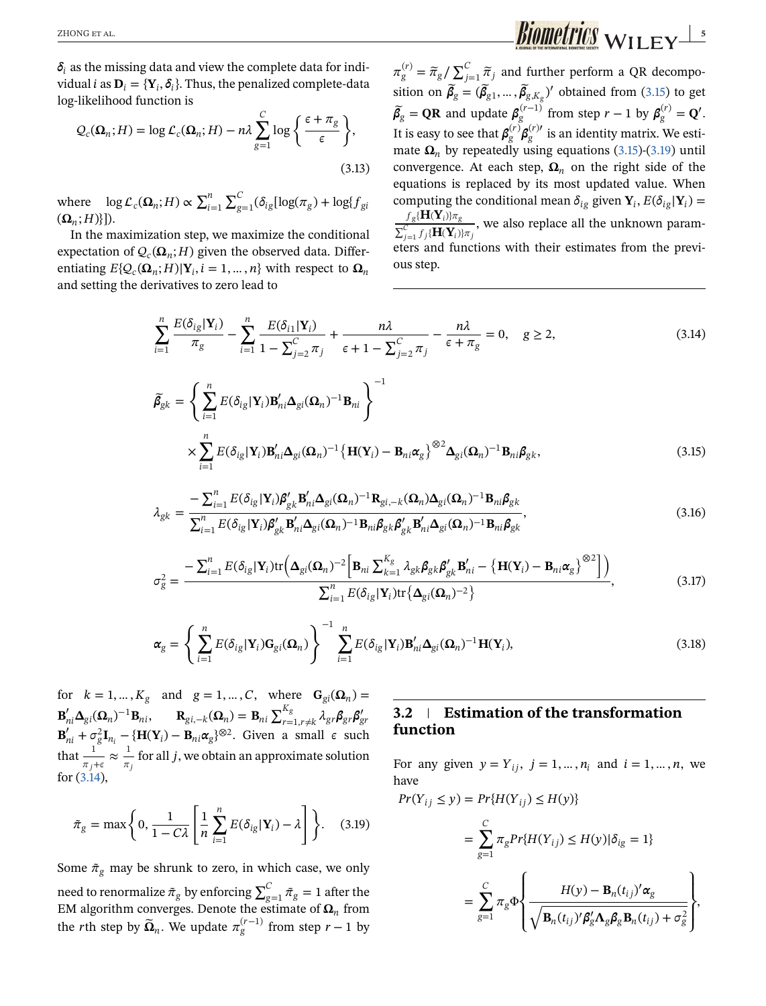<span id="page-4-0"></span> $\delta_i$  as the missing data and view the complete data for individual *i* as  $D_i = \{Y_i, \delta_i\}$ . Thus, the penalized complete-data log-likelihood function is

$$
Q_c(\Omega_n; H) = \log \mathcal{L}_c(\Omega_n; H) - n\lambda \sum_{g=1}^C \log \left\{ \frac{\epsilon + \pi_g}{\epsilon} \right\},\tag{3.13}
$$

where  $\log L_c(\Omega_n; H) \propto \sum_{i=1}^n$  $\mathbf{r}^c$  $\sum_{g=1}^{6}(\delta_{ig}[\log(\pi_g) + \log\{f_{gi}\})$  $({\bf \Omega}_n; H)$ ]).

In the maximization step, we maximize the conditional expectation of  $Q_c(\Omega_n; H)$  given the observed data. Differentiating  $E\{Q_c(\mathbf{\Omega}_n; H)|\mathbf{Y}_i, i = 1, ..., n\}$  with respect to  $\mathbf{\Omega}_n$ and setting the derivatives to zero lead to

 $\pi_{g}^{(r)} = \widetilde{\pi}_{g}/$  $\mathbf{r}^c$  $\sum_{j=1}^{\infty} \widetilde{\pi}_j$  and further perform a QR decomposition on  $\widetilde{\beta}_g = (\widetilde{\beta}_{g1}, \dots, \widetilde{\beta}_{g,K_g})'$  obtained from (3.15) to get  $\widetilde{\beta}_g = QR$  and update  $\beta_g^{(r-1)}$  from step  $r-1$  by  $\beta_g^{(r)} = Q'$ . It is easy to see that  $\beta_g^{(r)}\beta_g^{(r)\prime}$  is an identity matrix. We estimate  $\Omega_n$  by repeatedly using equations (3.15)-(3.19) until convergence. At each step,  $\Omega_n$  on the right side of the equations is replaced by its most updated value. When computing the conditional mean  $\delta_{ig}$  given  $\mathbf{Y}_i$ ,  $E(\delta_{ig}|\mathbf{Y}_i)$  =  $\frac{f_g\{\mathbf{H}(\mathbf{Y}_i)\}\pi_g}{\sum_{j=1}^C f_j\{\mathbf{H}(\mathbf{Y}_i)\}\pi_j}$ , we also replace all the unknown parameters and functions with their estimates from the previous step.

$$
\sum_{i=1}^{n} \frac{E(\delta_{ig}|\mathbf{Y}_i)}{\pi_g} - \sum_{i=1}^{n} \frac{E(\delta_{i1}|\mathbf{Y}_i)}{1 - \sum_{j=2}^{C} \pi_j} + \frac{n\lambda}{\epsilon + 1 - \sum_{j=2}^{C} \pi_j} - \frac{n\lambda}{\epsilon + \pi_g} = 0, \quad g \ge 2,
$$
\n(3.14)

$$
\widetilde{\beta}_{gk} = \left\{ \sum_{i=1}^{n} E(\delta_{ig} | \mathbf{Y}_i) \mathbf{B}_{ni}' \mathbf{\Delta}_{gi} (\mathbf{\Omega}_n)^{-1} \mathbf{B}_{ni} \right\}^{-1}
$$
\n
$$
\times \sum_{i=1}^{n} E(\delta_{ig} | \mathbf{Y}_i) \mathbf{B}_{ni}' \mathbf{\Delta}_{gi} (\mathbf{\Omega}_n)^{-1} \left\{ \mathbf{H}(\mathbf{Y}_i) - \mathbf{B}_{ni} \alpha_g \right\}^{\otimes 2} \mathbf{\Delta}_{gi} (\mathbf{\Omega}_n)^{-1} \mathbf{B}_{ni} \beta_{gk},
$$
\n(3.15)

$$
\lambda_{gk} = \frac{-\sum_{i=1}^{n} E(\delta_{ig} | \mathbf{Y}_i) \boldsymbol{\beta}_{gk}' \mathbf{B}_{ni}' \boldsymbol{\Delta}_{gi}(\boldsymbol{\Omega}_n)^{-1} \mathbf{R}_{gi,-k}(\boldsymbol{\Omega}_n) \boldsymbol{\Delta}_{gi}(\boldsymbol{\Omega}_n)^{-1} \mathbf{B}_{ni} \boldsymbol{\beta}_{gk}}{\sum_{i=1}^{n} E(\delta_{ig} | \mathbf{Y}_i) \boldsymbol{\beta}_{gk}' \mathbf{B}_{ni}' \boldsymbol{\Delta}_{gi}(\boldsymbol{\Omega}_n)^{-1} \mathbf{B}_{ni} \boldsymbol{\beta}_{gk} \boldsymbol{\beta}_{gk}' \mathbf{B}_{ni}' \boldsymbol{\Delta}_{gi}(\boldsymbol{\Omega}_n)^{-1} \mathbf{B}_{ni} \boldsymbol{\beta}_{gk}},
$$
\n(3.16)

$$
\sigma_g^2 = \frac{-\sum_{i=1}^n E(\delta_{ig}|\mathbf{Y}_i) \text{tr}\Big(\mathbf{\Delta}_{gi}(\mathbf{\Omega}_n)^{-2} \Big[\mathbf{B}_{ni} \sum_{k=1}^{K_g} \lambda_{gk} \mathbf{\beta}_{gk} \mathbf{\beta}_{gk}' \mathbf{B}_{ni}' - \big\{ \mathbf{H}(\mathbf{Y}_i) - \mathbf{B}_{ni} \alpha_g \big\}^{\otimes 2} \Big] \Big)}{\sum_{i=1}^n E(\delta_{ig}|\mathbf{Y}_i) \text{tr}\big\{ \mathbf{\Delta}_{gi}(\mathbf{\Omega}_n)^{-2} \big\}}.
$$
(3.17)

$$
\boldsymbol{\alpha}_{g} = \left\{ \sum_{i=1}^{n} E(\delta_{ig} | \mathbf{Y}_{i}) \mathbf{G}_{gi}(\boldsymbol{\Omega}_{n}) \right\}^{-1} \sum_{i=1}^{n} E(\delta_{ig} | \mathbf{Y}_{i}) \mathbf{B}_{ni}' \boldsymbol{\Delta}_{gi}(\boldsymbol{\Omega}_{n})^{-1} \mathbf{H}(\mathbf{Y}_{i}),
$$
\n(3.18)

for  $k = 1, ..., K<sub>g</sub>$  and  $g = 1, ..., C$ , where  $\mathbf{G}_{gi}(\Omega_n) =$  $\mathbf{B}_{ni}' \mathbf{\Delta}_{gi}(\mathbf{\Omega}_n)^{-1} \mathbf{B}_{ni}, \qquad \mathbf{R}_{gi,-k}(\mathbf{\Omega}_n) = \mathbf{B}_{ni} \sum_{r=1, r \neq k}^{K_g} \lambda_{gr} \beta_{gr} \beta_{gr}'$  $\mathbf{B}_{ni}' + \sigma_g^2 \mathbf{I}_{n_i} - \{\mathbf{H}(\mathbf{Y}_i) - \mathbf{B}_{ni} \alpha_g\}^{\otimes 2}$ . Given a small  $\epsilon$  such that  $\frac{1}{\pi_j + \epsilon} \approx \frac{1}{\pi_j}$  $\frac{1}{\pi_j}$  for all *j*, we obtain an approximate solution for (3.14),

$$
\tilde{\pi}_g = \max\left\{0, \frac{1}{1 - C\lambda} \left[\frac{1}{n} \sum_{i=1}^n E(\delta_{ig} | \mathbf{Y}_i) - \lambda\right]\right\}.
$$
 (3.19)

Some  $\tilde{\pi}_{g}$  may be shrunk to zero, in which case, we only need to renormalize  $\tilde{\pi}_g$  by enforcing  $\sum_{g=1}^C \tilde{\pi}_g = 1$  after the EM algorithm converges. Denote the estimate of  $\Omega_n$  from the *r*th step by  $\widetilde{\mathbf{\Omega}}_n$ . We update  $\pi_g^{(r-1)}$  from step  $r-1$  by

# **3.2 Estimation of the transformation function**

For any given  $y = Y_{ij}$ ,  $j = 1, ..., n_i$  and  $i = 1, ..., n$ , we have

$$
Pr(Y_{ij} \le y) = Pr\{H(Y_{ij}) \le H(y)\}
$$
  
= 
$$
\sum_{g=1}^{C} \pi_g Pr\{H(Y_{ij}) \le H(y)|\delta_{ig} = 1\}
$$
  
= 
$$
\sum_{g=1}^{C} \pi_g \Phi \left\{\frac{H(y) - B_n(t_{ij})' \alpha_g}{\sqrt{B_n(t_{ij})' \beta_g' \Lambda_g \beta_g B_n(t_{ij}) + \sigma_g^2}}\right\},
$$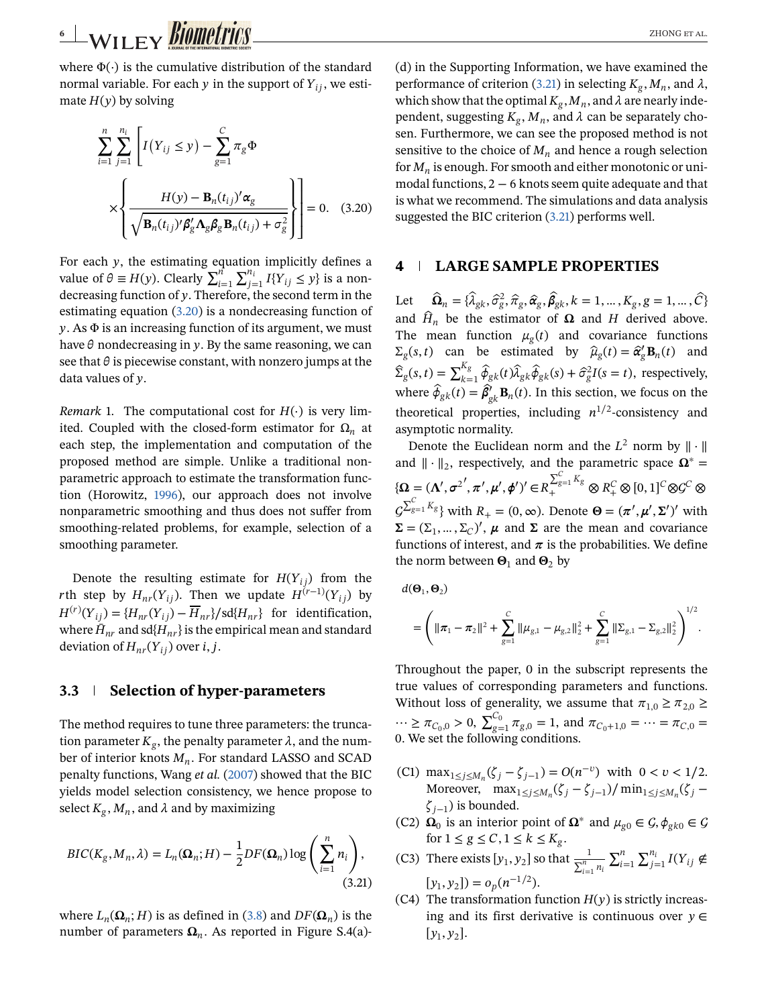<span id="page-5-0"></span>where  $\Phi(\cdot)$  is the cumulative distribution of the standard normal variable. For each  $y$  in the support of  $Y_{ii}$ , we estimate  $H(y)$  by solving

$$
\sum_{i=1}^{n} \sum_{j=1}^{n_i} \left[ I(Y_{ij} \le y) - \sum_{g=1}^{C} \pi_g \Phi \times \left\{ \frac{H(y) - \mathbf{B}_n(t_{ij})' \alpha_g}{\sqrt{\mathbf{B}_n(t_{ij})' \beta_g' \mathbf{\Lambda}_g \beta_g \mathbf{B}_n(t_{ij}) + \sigma_g^2}} \right\} \right] = 0. \quad (3.20)
$$

For each  $y$ , the estimating equation implicitly defines a For each y, the estimating equal value of  $\theta \equiv H(y)$ . Clearly  $\sum_{i=1}^{n}$  $\sum_{j=1}^{n_i} I\{Y_{ij} \leq y\}$  is a nondecreasing function of  $y$ . Therefore, the second term in the estimating equation (3.20) is a nondecreasing function of  $y$ . As  $\Phi$  is an increasing function of its argument, we must have  $\theta$  nondecreasing in y. By the same reasoning, we can see that  $\theta$  is piecewise constant, with nonzero jumps at the data values of  $\nu$ .

*Remark* 1. The computational cost for  $H(·)$  is very limited. Coupled with the closed-form estimator for  $\Omega_n$  at each step, the implementation and computation of the proposed method are simple. Unlike a traditional nonparametric approach to estimate the transformation function (Horowitz, 1996), our approach does not involve nonparametric smoothing and thus does not suffer from smoothing-related problems, for example, selection of a smoothing parameter.

Denote the resulting estimate for  $H(Y_{ii})$  from the rth step by  $H_{nr}(Y_{ij})$ . Then we update  $H^{(r-1)}(Y_{ii})$  by  $H^{(r)}(Y_{ii}) = {H_{nr}(Y_{ii}) - \overline{H}_{nr}}$ /sd ${H_{nr}}$  for identification, where  $\bar{H}_{nr}$  and sd{ $H_{nr}$ } is the empirical mean and standard deviation of  $H_{nr}(Y_{ii})$  over i, j.

#### **3.3 Selection of hyper-parameters**

The method requires to tune three parameters: the truncation parameter  $K_g$ , the penalty parameter  $\lambda$ , and the number of interior knots  $M_n$ . For standard LASSO and SCAD penalty functions, Wang *et al.* (2007) showed that the BIC yields model selection consistency, we hence propose to select  $K_g$ ,  $M_n$ , and  $\lambda$  and by maximizing

$$
BIC(K_g, M_n, \lambda) = L_n(\Omega_n; H) - \frac{1}{2} DF(\Omega_n) \log \left( \sum_{i=1}^n n_i \right),
$$
\n(3.21)

where  $L_n(\Omega_n; H)$  is as defined in [\(3.8\)](#page-3-0) and  $DF(\Omega_n)$  is the number of parameters  $\Omega_n$ . As reported in Figure S.4(a)- (d) in the Supporting Information, we have examined the performance of criterion (3.21) in selecting  $K_g$ ,  $M_n$ , and  $\lambda$ , which show that the optimal  $K_g$ ,  $M_n$ , and  $\lambda$  are nearly independent, suggesting  $K_{\varrho}$ ,  $M_n$ , and  $\lambda$  can be separately chosen. Furthermore, we can see the proposed method is not sensitive to the choice of  $M_n$  and hence a rough selection for  $M_n$  is enough. For smooth and either monotonic or unimodal functions, 2−6 knots seem quite adequate and that is what we recommend. The simulations and data analysis suggested the BIC criterion (3.21) performs well.

### **4 LARGE SAMPLE PROPERTIES**

Let  $\hat{\Omega}_n = \{\hat{\lambda}_{gk}, \hat{\sigma}_g^2, \hat{\pi}_g, \hat{\alpha}_g, \hat{\beta}_{gk}, k = 1, ..., K_g, g = 1, ..., \hat{C}\}\$ and  $\hat{H}_n$  be the estimator of  $\Omega$  and H derived above. The mean function  $\mu_g(t)$  and covariance functions  $\Sigma_g(s,t)$  can be estimated by  $\hat{\mu}_g(t) = \hat{\alpha}_g^t \mathbf{B}_n(t)$  and  $\hat{\Sigma}_g(s,t) = \sum_{k=1}^{K_g} \hat{\phi}_{gk}(t) \hat{\lambda}_{gk} \hat{\phi}_{gk}(s) + \hat{\sigma}_g^2 I(s=t)$ , respectively, where  $\hat{\phi}_{gk}(t) = \hat{\beta}'_{gk} \mathbf{B}_n(t)$ . In this section, we focus on the theoretical properties, including  $n^{1/2}$ -consistency and asymptotic normality.

Denote the Euclidean norm and the  $L^2$  norm by  $\|\cdot\|$ and  $\|\cdot\|_2$ , respectively, and the parametric space  $\Omega^*$  =  ${\boldsymbol{\Omega}} = (\boldsymbol{\Lambda}', \boldsymbol{\sigma}^{2'}, \boldsymbol{\pi}', \boldsymbol{\mu}', \boldsymbol{\phi}')' \in R$  $\sum_{g=1}^{C} K_g$   $\otimes R_+^C \otimes [0,1]^C \otimes G^C \otimes$  $\mathcal{C}$  $\sum_{g=1}^{C} K_g$  with  $R_+ = (0, \infty)$ . Denote  $\Theta = (\pi', \mu', \Sigma')'$  with  $\Sigma = (\Sigma_1, ..., \Sigma_C)'$ ,  $\mu$  and  $\Sigma$  are the mean and covariance functions of interest, and  $\pi$  is the probabilities. We define the norm between  $\mathbf{\Theta}_1$  and  $\mathbf{\Theta}_2$  by

$$
d(\mathbf{\Theta}_1, \mathbf{\Theta}_2)
$$
  
=  $\left( ||\boldsymbol{\pi}_1 - \boldsymbol{\pi}_2||^2 + \sum_{g=1}^C ||\mu_{g,1} - \mu_{g,2}||_2^2 + \sum_{g=1}^C ||\boldsymbol{\Sigma}_{g,1} - \boldsymbol{\Sigma}_{g,2}||_2^2 \right)^{1/2}.$ 

Throughout the paper, 0 in the subscript represents the true values of corresponding parameters and functions. Without loss of generality, we assume that  $\pi_{1,0} \ge \pi_{2,0} \ge$ … ≥ π<sub>C<sub>0</sub>,0</sub> > 0,  $\sum_{g=1}^{C_0}$  $\tau_{g=1}^0 \pi_{g,0} = 1$ , and  $\pi_{C_0+1,0} = \cdots = \pi_{C,0} =$ 0. We set the following conditions.

- (C1) max<sub>1≤j≤Mn</sub>( $\zeta_i \zeta_{i-1}$ ) =  $O(n^{-v})$  with 0 < v < 1/2. Moreover,  $\max_{1 \leq j \leq M_n} (\zeta_j - \zeta_{j-1}) / \min_{1 \leq j \leq M_n} (\zeta_j - \zeta_{j-1})$  $\zeta_{i-1}$ ) is bounded.
- (C2)  $\Omega_0$  is an interior point of  $\Omega^*$  and  $\mu_{g0} \in \mathcal{G}, \phi_{gk0} \in \mathcal{G}$ for  $1\leq g\leq C, 1\leq k\leq K_g.$  $\mathbf{r}$
- (C3) There exists  $[y_1, y_2]$  so that  $\frac{1}{\sum_{i=1}^n n_i}$  $i=1$  $\mathbf{\nabla}^{n_i}$  $\sum_{j=1}^{n_i} I(Y_{ij} \notin$  $[y_1, y_2]$ ) =  $o_n(n^{-1/2})$ .
- (C4) The transformation function  $H(y)$  is strictly increasing and its first derivative is continuous over  $y \in$  $[y_1, y_2]$ .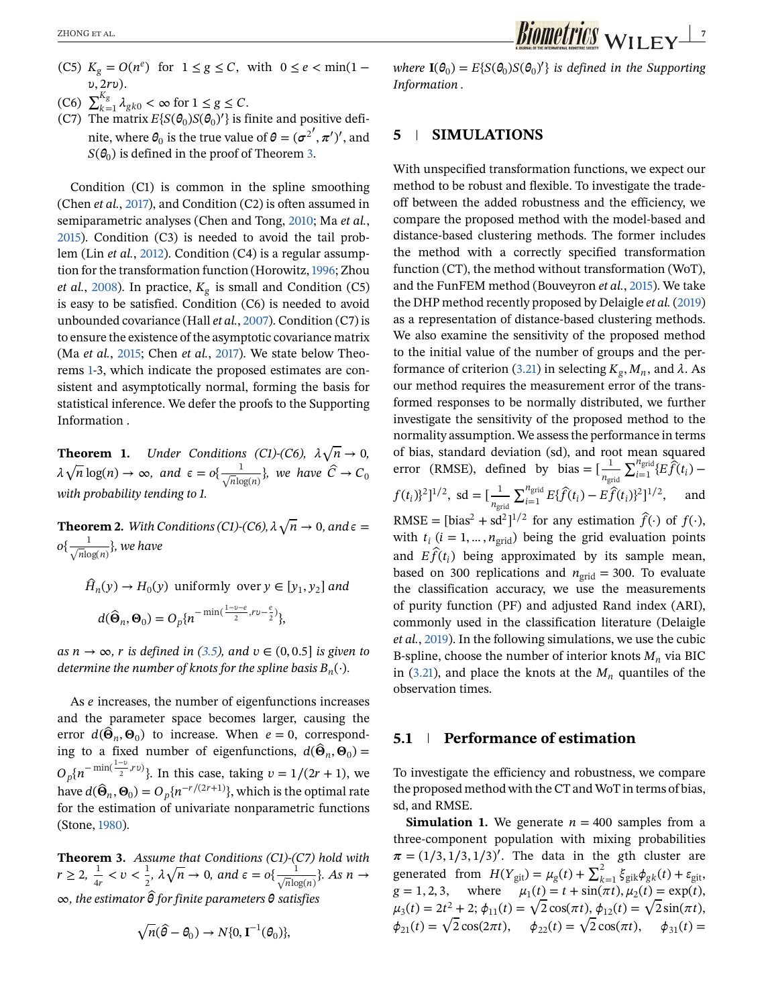- <span id="page-6-0"></span>(C5)  $K_g = O(n^e)$  for  $1 \le g \le C$ , with  $0 \le e < \min(1 v$ ,  $2rv$ ).
- (C6)  $\sum_{k=1}^{K_g} \lambda_{gk0} < \infty$  for  $1 \le g \le C$ .
- (C7) The matrix  $E{S(\theta_0)S(\theta_0)}$  is finite and positive definite, where  $\theta_0$  is the true value of  $\theta = (\sigma^{2'}, \pi')'$ , and  $S(\theta_0)$  is defined in the proof of Theorem 3.

Condition (C1) is common in the spline smoothing (Chen *et al.*, 2017), and Condition (C2) is often assumed in semiparametric analyses (Chen and Tong, 2010; Ma *et al.*, 2015). Condition (C3) is needed to avoid the tail problem (Lin *et al.*, 2012). Condition (C4) is a regular assumption for the transformation function (Horowitz,1996; Zhou *et al.*, 2008). In practice,  $K_{\varphi}$  is small and Condition (C5) is easy to be satisfied. Condition (C6) is needed to avoid unbounded covariance (Hall *et al.*, 2007). Condition (C7) is to ensure the existence of the asymptotic covariance matrix (Ma *et al.*, 2015; Chen *et al.*, 2017). We state below Theorems 1-3, which indicate the proposed estimates are consistent and asymptotically normal, forming the basis for statistical inference. We defer the proofs to the Supporting Information .

**Theorem 1.** *Under Conditions (C1)-(C6),* √ $n \rightarrow 0$ ,  $\lambda$ **NEXETED 1.** Onder Conditions  $(CI)$ - $(CO)$ ,  $A \sqrt{n} \rightarrow 0$ ,<br> $\sqrt{n} \log(n) \rightarrow \infty$ , and  $\epsilon = o\{\frac{1}{\sqrt{n} \log(n)}\}$ , we have  $\hat{C} \rightarrow C_0$ *with probability tending to 1.*

**Theorem 2.** *With Conditions (C1)-(C6),* √ $n \to 0$ *, and*  $\epsilon =$  $o\{\frac{1}{\sqrt{n}\text{log}(n)}\}$ , we have

$$
\hat{H}_n(y) \to H_0(y) \text{ uniformly over } y \in [y_1, y_2] \text{ and}
$$

$$
d(\hat{\Theta}_n, \Theta_0) = O_p\{n^{-\min(\frac{1-y-\epsilon}{2}, rv - \frac{\epsilon}{2})}\},
$$

*as*  $n \to ∞$ *, r is defined in [\(3.5\)](#page-2-0), and*  $v \in (0, 0.5]$  *is given to determine the number of knots for the spline basis*  $B_n(\cdot)$ *.* 

As  $e$  increases, the number of eigenfunctions increases and the parameter space becomes larger, causing the error  $d(\hat{\Theta}_n, \Theta_0)$  to increase. When  $e=0$ , corresponding to a fixed number of eigenfunctions,  $d(\hat{\Theta}_n, \Theta_0)$  =  $O_p\{n^{-\min(\frac{1-\nu}{2},r\nu)}\}$ . In this case, taking  $\nu = 1/(2r+1)$ , we have  $d(\hat{\Theta}_n, \Theta_0) = O_p\{n^{-r/(2r+1)}\}$ , which is the optimal rate for the estimation of univariate nonparametric functions (Stone, 1980).

**Theorem 3.** *Assume that Conditions (C1)-(C7) hold with*  $r \geq 2, \frac{1}{4r} < v < \frac{1}{2}$  $\frac{1}{2}$ ,  $\lambda$ *ne that Conditions (CI)-(C7) hold with*<br> $\sqrt{n} \to 0$ , and  $\epsilon = o\{\frac{1}{\sqrt{n}\log(n)}\}$ . As  $n \to \infty$ ∞*, the estimator* ˆ*for finite parameters satisfies*

$$
\sqrt{n}(\widehat{\theta}-\theta_0) \to N\{0, \mathbf{I}^{-1}(\theta_0)\},\
$$

*where*  $\mathbf{I}(\theta_0) = E\{S(\theta_0)S(\theta_0)'\}$  *is defined in the Supporting Information .*

### **5 SIMULATIONS**

With unspecified transformation functions, we expect our method to be robust and flexible. To investigate the tradeoff between the added robustness and the efficiency, we compare the proposed method with the model-based and distance-based clustering methods. The former includes the method with a correctly specified transformation function (CT), the method without transformation (WoT), and the FunFEM method (Bouveyron *et al.*, 2015). We take the DHP method recently proposed by Delaigle *et al.* (2019) as a representation of distance-based clustering methods. We also examine the sensitivity of the proposed method to the initial value of the number of groups and the per-formance of criterion [\(3.21\)](#page-5-0) in selecting  $K_g$ ,  $M_n$ , and  $\lambda$ . As our method requires the measurement error of the transformed responses to be normally distributed, we further investigate the sensitivity of the proposed method to the normality assumption. We assess the performance in terms of bias, standard deviation (sd), and root mean squared error (RMSE), defined by bias =  $\left[\frac{1}{n_{\text{grid}}} \right]$  $\sum_{i=1}^{n_{\text{grid}}} \{E \hat{f}(t_i)$  $f(t_i)^2$ ]<sup>1/2</sup>, sd =  $\left[\frac{1}{n_{\text{grid}}}$  $\sum_{i=1}^{n_{\text{grid}}} E\{\hat{f}(t_i) - E\hat{f}(t_i)\}^2]^{1/2}$ , and RMSE = [bias<sup>2</sup> + sd<sup>2</sup>]<sup>1/2</sup> for any estimation  $\hat{f}(\cdot)$  of  $f(\cdot)$ , with  $t_i$  ( $i = 1, ..., n_{grid}$ ) being the grid evaluation points and  $E \hat{f}(t_i)$  being approximated by its sample mean, based on 300 replications and  $n_{grid} = 300$ . To evaluate the classification accuracy, we use the measurements of purity function (PF) and adjusted Rand index (ARI), commonly used in the classification literature (Delaigle *et al.*, 2019). In the following simulations, we use the cubic B-spline, choose the number of interior knots  $M_n$  via BIC in [\(3.21\)](#page-5-0), and place the knots at the  $M_n$  quantiles of the observation times.

### **5.1 Performance of estimation**

To investigate the efficiency and robustness, we compare the proposed method with the CT and WoT in terms of bias, sd, and RMSE.

**Simulation 1.** We generate  $n = 400$  samples from a three-component population with mixing probabilities  $\pi = (1/3, 1/3, 1/3)'$ . The data in the gth cluster are generated from  $H(Y_{\text{git}}) = \mu_g(t) + \sum_{k=1}^2 \xi_{\text{gik}}\phi_{gk}(t) + \varepsilon_{\text{git}},$  $g = 1, 2, 3,$  where  $\mu_1(t) = t + \sin(\pi t), \mu_2(t) = \exp(t),$  $g = 1, 2, 3$ , where  $\mu_1(t) = t + \sin(\pi t), \mu_2(t) = \exp(t),$ <br>  $\mu_3(t) = 2t^2 + 2; \phi_{11}(t) = \sqrt{2} \cos(\pi t), \phi_{12}(t) = \sqrt{2} \sin(\pi t),$  $\mu_3(t) = 2t^2 + 2$ ;  $\phi_{11}(t) = \sqrt{2} \cos(\pi t), \phi_{12}(t) = \sqrt{2} \sin(\pi t),$ <br>  $\phi_{21}(t) = \sqrt{2} \cos(2\pi t), \quad \phi_{22}(t) = \sqrt{2} \cos(\pi t), \quad \phi_{31}(t) =$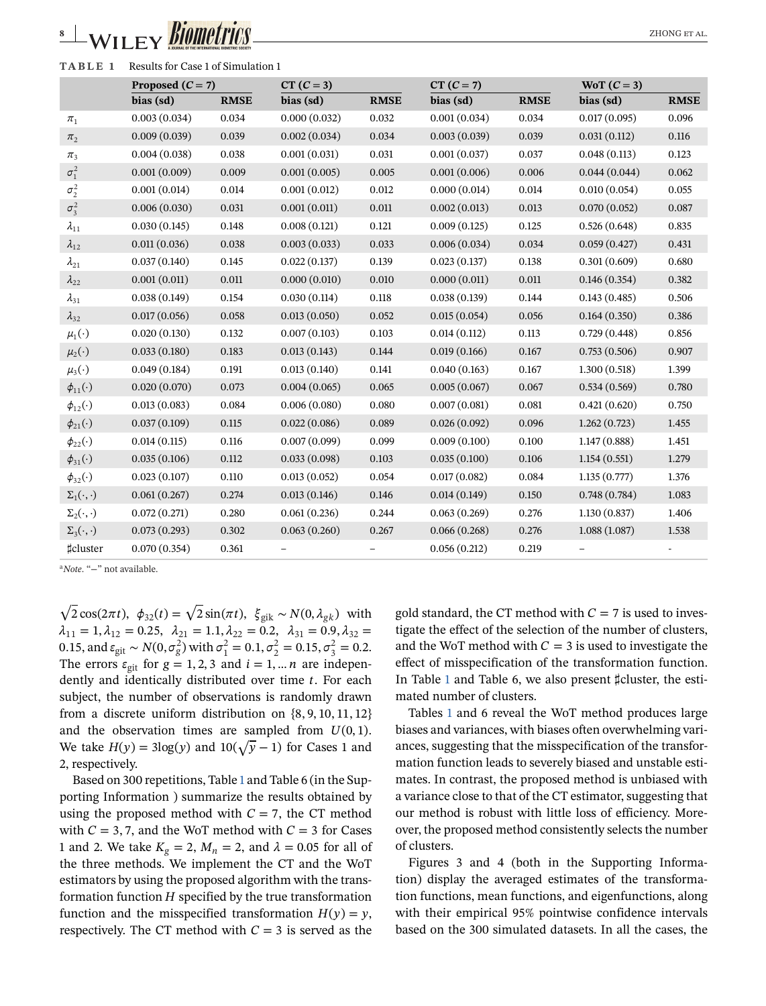# WILEY *BIOMPUTIOS*

| TABLE 1                 | Results for Case 1 of Simulation 1 |             |              |             |              |             |                   |             |  |
|-------------------------|------------------------------------|-------------|--------------|-------------|--------------|-------------|-------------------|-------------|--|
|                         | Proposed $(C = 7)$                 |             | $CT (C = 3)$ |             | $CT (C = 7)$ |             | $WoT(C=3)$        |             |  |
|                         | bias (sd)                          | <b>RMSE</b> | bias (sd)    | <b>RMSE</b> | bias (sd)    | <b>RMSE</b> | bias (sd)         | <b>RMSE</b> |  |
| $\pi_1$                 | 0.003(0.034)                       | 0.034       | 0.000(0.032) | 0.032       | 0.001(0.034) | 0.034       | 0.017(0.095)      | 0.096       |  |
| $\pi_2$                 | 0.009(0.039)                       | 0.039       | 0.002(0.034) | 0.034       | 0.003(0.039) | 0.039       | 0.031(0.112)      | 0.116       |  |
| $\pi_3$                 | 0.004(0.038)                       | 0.038       | 0.001(0.031) | 0.031       | 0.001(0.037) | 0.037       | 0.048(0.113)      | 0.123       |  |
| $\sigma_1^2$            | 0.001(0.009)                       | 0.009       | 0.001(0.005) | 0.005       | 0.001(0.006) | 0.006       | 0.044(0.044)      | 0.062       |  |
| $\sigma_2^2$            | 0.001(0.014)                       | 0.014       | 0.001(0.012) | 0.012       | 0.000(0.014) | 0.014       | 0.010(0.054)      | 0.055       |  |
| $\sigma_3^2$            | 0.006(0.030)                       | 0.031       | 0.001(0.011) | 0.011       | 0.002(0.013) | 0.013       | 0.070(0.052)      | 0.087       |  |
| $\lambda_{11}$          | 0.030(0.145)                       | 0.148       | 0.008(0.121) | 0.121       | 0.009(0.125) | 0.125       | 0.526(0.648)      | 0.835       |  |
| $\lambda_{12}$          | 0.011(0.036)                       | 0.038       | 0.003(0.033) | 0.033       | 0.006(0.034) | 0.034       | 0.059(0.427)      | 0.431       |  |
| $\lambda_{21}$          | 0.037(0.140)                       | 0.145       | 0.022(0.137) | 0.139       | 0.023(0.137) | 0.138       | 0.301(0.609)      | 0.680       |  |
| $\lambda_{22}$          | 0.001(0.011)                       | 0.011       | 0.000(0.010) | 0.010       | 0.000(0.011) | 0.011       | 0.146(0.354)      | 0.382       |  |
| $\lambda_{31}$          | 0.038(0.149)                       | 0.154       | 0.030(0.114) | 0.118       | 0.038(0.139) | 0.144       | 0.143(0.485)      | 0.506       |  |
| $\lambda_{32}$          | 0.017(0.056)                       | 0.058       | 0.013(0.050) | 0.052       | 0.015(0.054) | 0.056       | 0.164(0.350)      | 0.386       |  |
| $\mu_1(\cdot)$          | 0.020(0.130)                       | 0.132       | 0.007(0.103) | 0.103       | 0.014(0.112) | 0.113       | 0.729(0.448)      | 0.856       |  |
| $\mu_2(\cdot)$          | 0.033(0.180)                       | 0.183       | 0.013(0.143) | 0.144       | 0.019(0.166) | 0.167       | 0.753(0.506)      | 0.907       |  |
| $\mu_3(\cdot)$          | 0.049(0.184)                       | 0.191       | 0.013(0.140) | 0.141       | 0.040(0.163) | 0.167       | 1.300(0.518)      | 1.399       |  |
| $\phi_{11}(\cdot)$      | 0.020(0.070)                       | 0.073       | 0.004(0.065) | 0.065       | 0.005(0.067) | 0.067       | 0.534(0.569)      | 0.780       |  |
| $\phi_{12}(\cdot)$      | 0.013(0.083)                       | 0.084       | 0.006(0.080) | 0.080       | 0.007(0.081) | 0.081       | 0.421(0.620)      | 0.750       |  |
| $\phi_{21}(\cdot)$      | 0.037(0.109)                       | 0.115       | 0.022(0.086) | 0.089       | 0.026(0.092) | 0.096       | 1.262(0.723)      | 1.455       |  |
| $\phi_{22}(\cdot)$      | 0.014(0.115)                       | 0.116       | 0.007(0.099) | 0.099       | 0.009(0.100) | 0.100       | 1.147(0.888)      | 1.451       |  |
| $\phi_{31}(\cdot)$      | 0.035(0.106)                       | 0.112       | 0.033(0.098) | 0.103       | 0.035(0.100) | 0.106       | 1.154(0.551)      | 1.279       |  |
| $\phi_{32}(\cdot)$      | 0.023(0.107)                       | 0.110       | 0.013(0.052) | 0.054       | 0.017(0.082) | 0.084       | 1.135(0.777)      | 1.376       |  |
| $\Sigma_1(\cdot,\cdot)$ | 0.061(0.267)                       | 0.274       | 0.013(0.146) | 0.146       | 0.014(0.149) | 0.150       | 0.748(0.784)      | 1.083       |  |
| $\Sigma_2(\cdot,\cdot)$ | 0.072(0.271)                       | 0.280       | 0.061(0.236) | 0.244       | 0.063(0.269) | 0.276       | 1.130(0.837)      | 1.406       |  |
| $\Sigma_3(\cdot,\cdot)$ | 0.073(0.293)                       | 0.302       | 0.063(0.260) | 0.267       | 0.066(0.268) | 0.276       | 1.088(1.087)      | 1.538       |  |
| <b>‡cluster</b>         | 0.070(0.354)                       | 0.361       |              | -           | 0.056(0.212) | 0.219       | $\qquad \qquad -$ |             |  |

<sup>a</sup>*Note*. "−" not available.

 $\sqrt{2}\cos(2\pi t), \ \phi_{32}(t) = \sqrt{2}\sin(\pi t), \ \xi_{gik} \sim N(0, \lambda_{gk})$  with  $\lambda_{11} = 1, \lambda_{12} = 0.25, \lambda_{21} = 1.1, \lambda_{22} = 0.2, \lambda_{31} = 0.9, \lambda_{32} =$ 0.15, and ε<sub>git</sub> ∼  $N(0, \sigma_g^2)$  with  $\sigma_1^2 = 0.1$ ,  $\sigma_2^2 = 0.15$ ,  $\sigma_3^2 = 0.2$ . The errors  $\varepsilon_{\text{git}}$  for  $g = 1, 2, 3$  and  $i = 1, \dots n$  are independently and identically distributed over time  $t$ . For each subject, the number of observations is randomly drawn from a discrete uniform distribution on {8, 9, 10, 11, 12} and the observation times are sampled from  $U(0, 1)$ . We take  $H(y) = 3\log(y)$  and  $10(\sqrt{y} - 1)$  for Cases 1 and 2, respectively.

Based on 300 repetitions, Table 1 and Table 6 (in the Supporting Information ) summarize the results obtained by using the proposed method with  $C = 7$ , the CT method with  $C = 3, 7$ , and the WoT method with  $C = 3$  for Cases 1 and 2. We take  $K_{\varphi} = 2$ ,  $M_n = 2$ , and  $\lambda = 0.05$  for all of the three methods. We implement the CT and the WoT estimators by using the proposed algorithm with the transformation function  $H$  specified by the true transformation function and the misspecified transformation  $H(y) = y$ , respectively. The CT method with  $C = 3$  is served as the gold standard, the CT method with  $C = 7$  is used to investigate the effect of the selection of the number of clusters, and the WoT method with  $C = 3$  is used to investigate the effect of misspecification of the transformation function. In Table 1 and Table 6, we also present ♯cluster, the estimated number of clusters.

Tables 1 and 6 reveal the WoT method produces large biases and variances, with biases often overwhelming variances, suggesting that the misspecification of the transformation function leads to severely biased and unstable estimates. In contrast, the proposed method is unbiased with a variance close to that of the CT estimator, suggesting that our method is robust with little loss of efficiency. Moreover, the proposed method consistently selects the number of clusters.

Figures 3 and 4 (both in the Supporting Information) display the averaged estimates of the transformation functions, mean functions, and eigenfunctions, along with their empirical 95% pointwise confidence intervals based on the 300 simulated datasets. In all the cases, the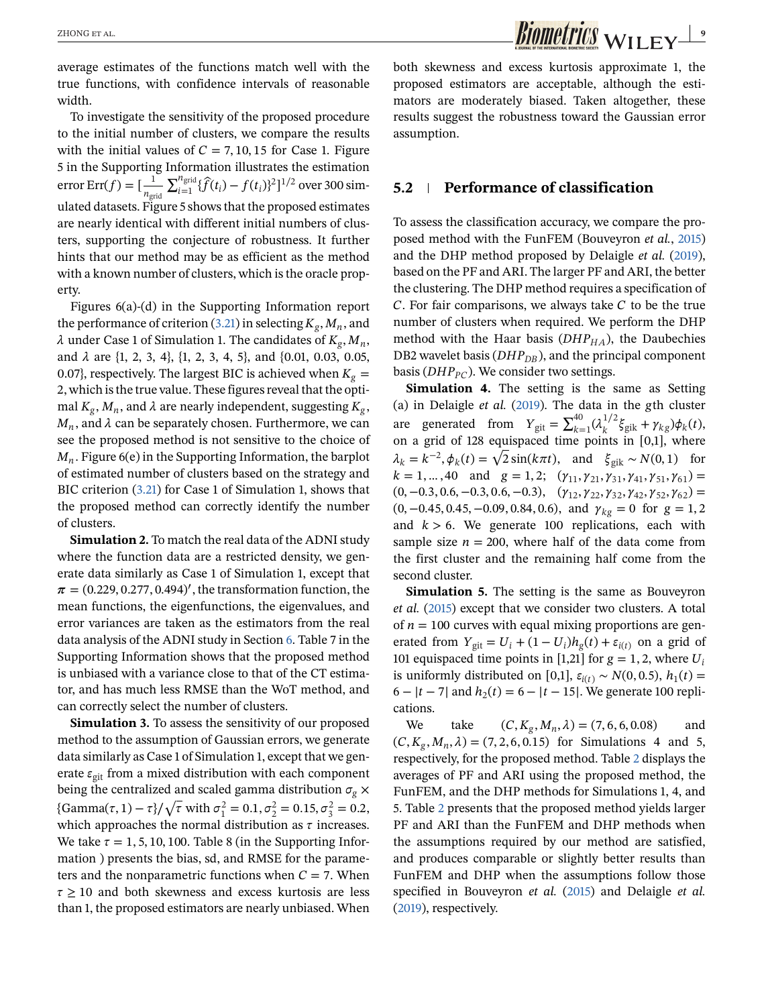average estimates of the functions match well with the true functions, with confidence intervals of reasonable width.

To investigate the sensitivity of the proposed procedure to the initial number of clusters, we compare the results with the initial values of  $C = 7, 10, 15$  for Case 1. Figure 5 in the Supporting Information illustrates the estimation error Err $(f) = [\frac{1}{n_{\text{grid}}}$  $\sum_{i=1}^{n_{\text{grid}}} {\hat{f}(t_i) - f(t_i)^2}$ <sup>1/2</sup> over 300 simulated datasets. Figure 5 shows that the proposed estimates are nearly identical with different initial numbers of clusters, supporting the conjecture of robustness. It further hints that our method may be as efficient as the method with a known number of clusters, which is the oracle property.

Figures 6(a)-(d) in the Supporting Information report the performance of criterion [\(3.21\)](#page-5-0) in selecting  $K_g$ ,  $M_n$ , and  $\lambda$  under Case 1 of Simulation 1. The candidates of  $K_g$ ,  $M_n$ , and  $\lambda$  are {1, 2, 3, 4}, {1, 2, 3, 4, 5}, and {0.01, 0.03, 0.05, 0.07}, respectively. The largest BIC is achieved when  $K_g =$ 2, which is the true value. These figures reveal that the optimal  $K_g$ ,  $M_n$ , and  $\lambda$  are nearly independent, suggesting  $K_g$ ,  $M_n$ , and  $\lambda$  can be separately chosen. Furthermore, we can see the proposed method is not sensitive to the choice of  $M_n$ . Figure 6(e) in the Supporting Information, the barplot of estimated number of clusters based on the strategy and BIC criterion [\(3.21\)](#page-5-0) for Case 1 of Simulation 1, shows that the proposed method can correctly identify the number of clusters.

**Simulation 2.** To match the real data of the ADNI study where the function data are a restricted density, we generate data similarly as Case 1 of Simulation 1, except that  $\pi = (0.229, 0.277, 0.494)'$ , the transformation function, the mean functions, the eigenfunctions, the eigenvalues, and error variances are taken as the estimators from the real data analysis of the ADNI study in Section [6.](#page-9-0) Table 7 in the Supporting Information shows that the proposed method is unbiased with a variance close to that of the CT estimator, and has much less RMSE than the WoT method, and can correctly select the number of clusters.

**Simulation 3.** To assess the sensitivity of our proposed method to the assumption of Gaussian errors, we generate data similarly as Case 1 of Simulation 1, except that we generate  $\varepsilon_{\text{git}}$  from a mixed distribution with each component being the centralized and scaled gamma distribution  $\sigma_g \times$ Formal the centralized and scaled gamma distribution  $\sigma_g \times$ <br>{Gamma $(\tau, 1) - \tau$ }/ $\sqrt{\tau}$  with  $\sigma_1^2 = 0.1$ ,  $\sigma_2^2 = 0.15$ ,  $\sigma_3^2 = 0.2$ , which approaches the normal distribution as  $\tau$  increases. We take  $\tau = 1, 5, 10, 100$ . Table 8 (in the Supporting Information ) presents the bias, sd, and RMSE for the parameters and the nonparametric functions when  $C = 7$ . When  $\tau \geq 10$  and both skewness and excess kurtosis are less than 1, the proposed estimators are nearly unbiased. When both skewness and excess kurtosis approximate 1, the proposed estimators are acceptable, although the estimators are moderately biased. Taken altogether, these results suggest the robustness toward the Gaussian error assumption.

#### **5.2 Performance of classification**

To assess the classification accuracy, we compare the proposed method with the FunFEM (Bouveyron *et al.*, 2015) and the DHP method proposed by Delaigle *et al.* (2019), based on the PF and ARI. The larger PF and ARI, the better the clustering. The DHP method requires a specification of  $C$ . For fair comparisons, we always take  $C$  to be the true number of clusters when required. We perform the DHP method with the Haar basis  $(DHP_{HA})$ , the Daubechies DB2 wavelet basis ( $DHP_{DB}$ ), and the principal component basis ( $DHP_{PC}$ ). We consider two settings.

**Simulation 4.** The setting is the same as Setting (a) in Delaigle  $et$   $al.$  (2019). The data in the gth cluster are generated from  $Y_{\text{git}} = \sum_{k=1}^{40} (\lambda_k^{1/2} \xi_{\text{gik}} + \gamma_{\text{kg}}) \phi_k(t)$ , on a grid of 128 equispaced time points in [0,1], where on a grid of 128 equispaced time points in [0,1], where  $\lambda_k = k^{-2}$ ,  $\phi_k(t) = \sqrt{2} \sin(k\pi t)$ , and  $\xi_{gik} \sim N(0, 1)$  for  $k = 1, ..., 40$  and  $g = 1, 2;$   $(\gamma_{11}, \gamma_{21}, \gamma_{31}, \gamma_{41}, \gamma_{51}, \gamma_{61}) =$  $(0, -0.3, 0.6, -0.3, 0.6, -0.3), \quad (\gamma_{12}, \gamma_{22}, \gamma_{32}, \gamma_{42}, \gamma_{52}, \gamma_{62}) =$  $(0, -0.45, 0.45, -0.09, 0.84, 0.6)$ , and  $\gamma_{kg} = 0$  for  $g = 1, 2$ and  $k > 6$ . We generate 100 replications, each with sample size  $n = 200$ , where half of the data come from the first cluster and the remaining half come from the second cluster.

**Simulation 5.** The setting is the same as Bouveyron *et al.* (2015) except that we consider two clusters. A total of  $n = 100$  curves with equal mixing proportions are generated from  $Y_{\text{git}} = U_i + (1 - U_i)h_g(t) + \varepsilon_{i(t)}$  on a grid of 101 equispaced time points in [1,21] for  $g = 1, 2$ , where  $U_i$ is uniformly distributed on [0,1],  $\varepsilon_{i(t)} \sim N(0, 0.5)$ ,  $h_1(t)$  = 6 –  $|t - 7|$  and  $h_2(t) = 6 - |t - 15|$ . We generate 100 replications.

We take  $(C, K_g, M_n, \lambda) = (7, 6, 6, 0.08)$  and  $(C, K_g, M_n, \lambda) = (7, 2, 6, 0.15)$  for Simulations 4 and 5, respectively, for the proposed method. Table [2](#page-9-0) displays the averages of PF and ARI using the proposed method, the FunFEM, and the DHP methods for Simulations 1, 4, and 5. Table [2](#page-9-0) presents that the proposed method yields larger PF and ARI than the FunFEM and DHP methods when the assumptions required by our method are satisfied, and produces comparable or slightly better results than FunFEM and DHP when the assumptions follow those specified in Bouveyron *et al.* (2015) and Delaigle *et al.* (2019), respectively.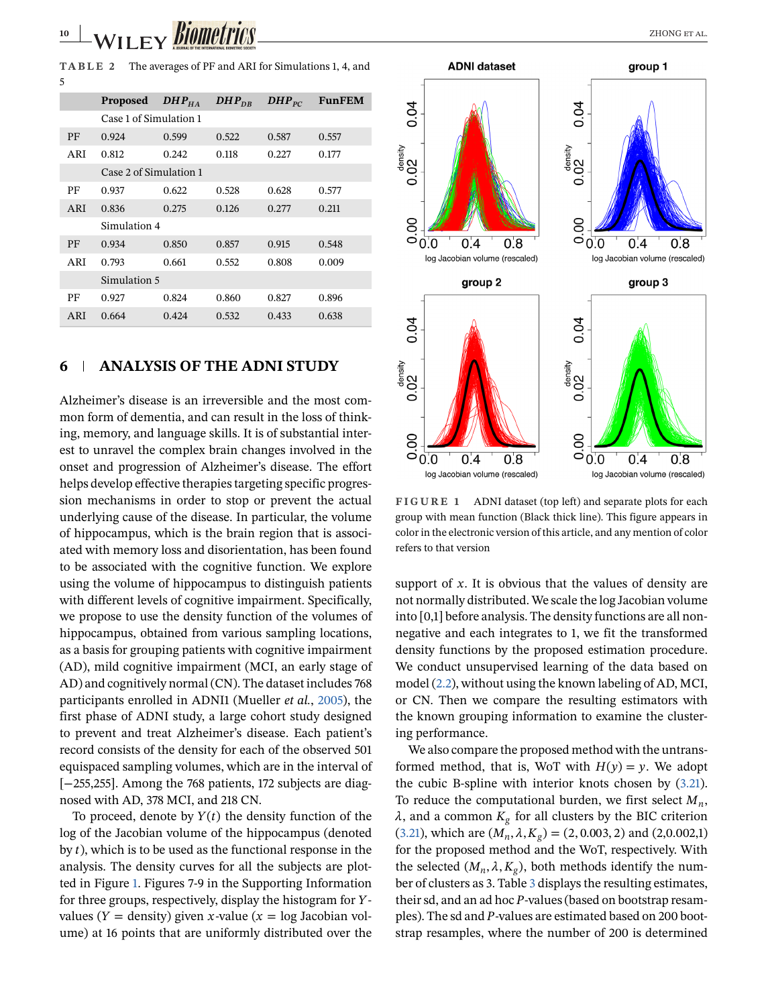<span id="page-9-0"></span>**TABLE 2** The averages of PF and ARI for Simulations 1, 4, and 5

|     | <b>Proposed</b>        | $DHP_{HA}$ | $DHP_{DR}$ | $DHP_{PC}$ | <b>FunFEM</b> |  |  |
|-----|------------------------|------------|------------|------------|---------------|--|--|
|     | Case 1 of Simulation 1 |            |            |            |               |  |  |
| PF  | 0.924                  | 0.599      | 0.522      | 0.587      | 0.557         |  |  |
| ARI | 0.812                  | 0.242      | 0.118      | 0.227      | 0.177         |  |  |
|     | Case 2 of Simulation 1 |            |            |            |               |  |  |
| PF  | 0.937                  | 0.622      | 0.528      | 0.628      | 0.577         |  |  |
| ARI | 0.836                  | 0.275      | 0.126      | 0.277      | 0.211         |  |  |
|     | Simulation 4           |            |            |            |               |  |  |
| PF  | 0.934                  | 0.850      | 0.857      | 0.915      | 0.548         |  |  |
| ARI | 0.793                  | 0.661      | 0.552      | 0.808      | 0.009         |  |  |
|     | Simulation 5           |            |            |            |               |  |  |
| PF  | 0.927                  | 0.824      | 0.860      | 0.827      | 0.896         |  |  |
| ARI | 0.664                  | 0.424      | 0.532      | 0.433      | 0.638         |  |  |

# **6 ANALYSIS OF THE ADNI STUDY**

Alzheimer's disease is an irreversible and the most common form of dementia, and can result in the loss of thinking, memory, and language skills. It is of substantial interest to unravel the complex brain changes involved in the onset and progression of Alzheimer's disease. The effort helps develop effective therapies targeting specific progression mechanisms in order to stop or prevent the actual underlying cause of the disease. In particular, the volume of hippocampus, which is the brain region that is associated with memory loss and disorientation, has been found to be associated with the cognitive function. We explore using the volume of hippocampus to distinguish patients with different levels of cognitive impairment. Specifically, we propose to use the density function of the volumes of hippocampus, obtained from various sampling locations, as a basis for grouping patients with cognitive impairment (AD), mild cognitive impairment (MCI, an early stage of AD) and cognitively normal (CN). The dataset includes 768 participants enrolled in ADNI1 (Mueller *et al.*, 2005), the first phase of ADNI study, a large cohort study designed to prevent and treat Alzheimer's disease. Each patient's record consists of the density for each of the observed 501 equispaced sampling volumes, which are in the interval of [−255,255]. Among the 768 patients, 172 subjects are diagnosed with AD, 378 MCI, and 218 CN.

To proceed, denote by  $Y(t)$  the density function of the log of the Jacobian volume of the hippocampus (denoted by  $t$ ), which is to be used as the functional response in the analysis. The density curves for all the subjects are plotted in Figure 1. Figures 7-9 in the Supporting Information for three groups, respectively, display the histogram for  $Y$ values ( $Y =$  density) given x-value ( $x =$  log Jacobian volume) at 16 points that are uniformly distributed over the



**FIGURE 1** ADNI dataset (top left) and separate plots for each group with mean function (Black thick line). This figure appears in color in the electronic version of this article, and any mention of color refers to that version

support of  $x$ . It is obvious that the values of density are not normally distributed. We scale the log Jacobian volume into [0,1] before analysis. The density functions are all nonnegative and each integrates to 1, we fit the transformed density functions by the proposed estimation procedure. We conduct unsupervised learning of the data based on model [\(2.2\)](#page-2-0), without using the known labeling of AD, MCI, or CN. Then we compare the resulting estimators with the known grouping information to examine the clustering performance.

We also compare the proposed method with the untransformed method, that is, WoT with  $H(y) = y$ . We adopt the cubic B-spline with interior knots chosen by [\(3.21\)](#page-5-0). To reduce the computational burden, we first select  $M_n$ ,  $\lambda$ , and a common  $K_g$  for all clusters by the BIC criterion [\(3.21\)](#page-5-0), which are  $(M_n, \lambda, K_g) = (2, 0.003, 2)$  and  $(2, 0.002, 1)$ for the proposed method and the WoT, respectively. With the selected  $(M_n, \lambda, K_g)$ , both methods identify the number of clusters as 3. Table [3](#page-10-0) displays the resulting estimates, their sd, and an ad hoc  $P$ -values (based on bootstrap resamples). The sd and P-values are estimated based on 200 bootstrap resamples, where the number of 200 is determined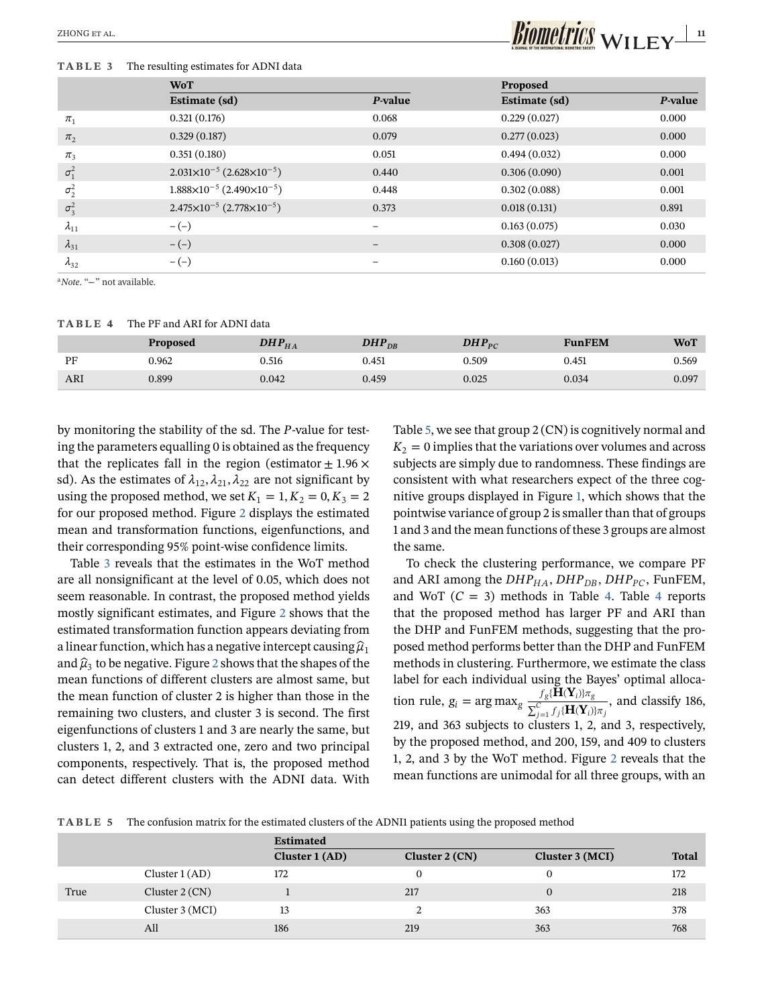#### **TABLE 3** The resulting estimates for ADNI data

# <span id="page-10-0"></span>ZHONG ET AL. **111 111 111 111 111 111 111 111 111 111 111 111 111 111 111 111 111 111 111 111 111 111 111 111 111 111 111 111 111 111 111 111 111 111 111**

|                    | <b>WoT</b>                                       |                 | Proposed      |         |  |
|--------------------|--------------------------------------------------|-----------------|---------------|---------|--|
|                    | Estimate (sd)                                    | P-value         | Estimate (sd) | P-value |  |
| $\pi_1$            | 0.321(0.176)                                     | 0.068           | 0.229(0.027)  | 0.000   |  |
| $\pi$ <sub>2</sub> | 0.329(0.187)                                     | 0.079           | 0.277(0.023)  | 0.000   |  |
| $\pi_3$            | 0.351(0.180)                                     | 0.051           | 0.494(0.032)  | 0.000   |  |
| $\sigma_1^2$       | $2.031\times10^{-5}$ (2.628 $\times10^{-5}$ )    | 0.440           | 0.306(0.090)  | 0.001   |  |
| $\sigma_2^2$       | $1.888 \times 10^{-5}$ (2.490 $\times 10^{-5}$ ) | 0.448           | 0.302(0.088)  | 0.001   |  |
| $\sigma_3^2$       | $2.475\times10^{-5}$ $(2.778\times10^{-5})$      | 0.373           | 0.018(0.131)  | 0.891   |  |
| $\lambda_{11}$     | $-(-)$                                           | $\equiv$        | 0.163(0.075)  | 0.030   |  |
| $\lambda_{31}$     | $-(-)$                                           | $\qquad \qquad$ | 0.308(0.027)  | 0.000   |  |
| $\lambda_{32}$     | $-(-)$                                           |                 | 0.160(0.013)  | 0.000   |  |
|                    |                                                  |                 |               |         |  |

<sup>a</sup>*Note*. "−" not available.

**TABLE 4** The PF and ARI for ADNI data

|     | <b>Proposed</b> | $\boldsymbol{DHP}_{HA}$ | DHP $_{\mathrm{DR}}$ | DHP $_{PC}$ | <b>FunFEM</b> | WoT   |
|-----|-----------------|-------------------------|----------------------|-------------|---------------|-------|
| PF  | 0.962           | J.516                   | 0.451                | 0.509       | 0.451         | 0.569 |
| ARI | 0.899           | 0.042                   | 0.459                | 0.025       | 0.034         | 0.097 |

by monitoring the stability of the sd. The P-value for testing the parameters equalling 0 is obtained as the frequency that the replicates fall in the region (estimator  $\pm$  1.96  $\times$ sd). As the estimates of  $\lambda_{12}$ ,  $\lambda_{21}$ ,  $\lambda_{22}$  are not significant by using the proposed method, we set  $K_1 = 1, K_2 = 0, K_3 = 2$ for our proposed method. Figure [2](#page-11-0) displays the estimated mean and transformation functions, eigenfunctions, and their corresponding 95% point-wise confidence limits.

Table 3 reveals that the estimates in the WoT method are all nonsignificant at the level of 0.05, which does not seem reasonable. In contrast, the proposed method yields mostly significant estimates, and Figure [2](#page-11-0) shows that the estimated transformation function appears deviating from a linear function, which has a negative intercept causing  $\hat{\mu}_1$ and  $\hat{\mu}_3$  to be negative. Figure [2](#page-11-0) shows that the shapes of the mean functions of different clusters are almost same, but the mean function of cluster 2 is higher than those in the remaining two clusters, and cluster 3 is second. The first eigenfunctions of clusters 1 and 3 are nearly the same, but clusters 1, 2, and 3 extracted one, zero and two principal components, respectively. That is, the proposed method can detect different clusters with the ADNI data. With Table 5, we see that group 2 (CN) is cognitively normal and  $K_2 = 0$  implies that the variations over volumes and across subjects are simply due to randomness. These findings are consistent with what researchers expect of the three cognitive groups displayed in Figure [1,](#page-9-0) which shows that the pointwise variance of group 2 is smaller than that of groups 1 and 3 and the mean functions of these 3 groups are almost the same.

To check the clustering performance, we compare PF and ARI among the  $DHP_{HA}$ ,  $DHP_{DB}$ ,  $DHP_{PC}$ , FunFEM, and WoT  $(C = 3)$  methods in Table 4. Table 4 reports that the proposed method has larger PF and ARI than the DHP and FunFEM methods, suggesting that the proposed method performs better than the DHP and FunFEM methods in clustering. Furthermore, we estimate the class label for each individual using the Bayes' optimal allocation rule,  $g_i = \arg \max_g \frac{f_g \{ H(Y_i) \} \pi_g}{\sum_{j=1}^C f_j \{ H(Y_i) \} \pi_j}$ , and classify 186, 219, and 363 subjects to clusters 1, 2, and 3, respectively, by the proposed method, and 200, 159, and 409 to clusters 1, 2, and 3 by the WoT method. Figure [2](#page-11-0) reveals that the mean functions are unimodal for all three groups, with an

**TABLE 5** The confusion matrix for the estimated clusters of the ADNI1 patients using the proposed method

|      |                  | <b>Estimated</b> |                  |                 |              |  |
|------|------------------|------------------|------------------|-----------------|--------------|--|
|      |                  | Cluster $1 (AD)$ | Cluster $2 (CN)$ | Cluster 3 (MCI) | <b>Total</b> |  |
|      | Cluster $1(AD)$  | 172              |                  |                 | 172          |  |
| True | Cluster $2 (CN)$ |                  | 217              |                 | 218          |  |
|      | Cluster 3 (MCI)  | 13               |                  | 363             | 378          |  |
|      | All              | 186              | 219              | 363             | 768          |  |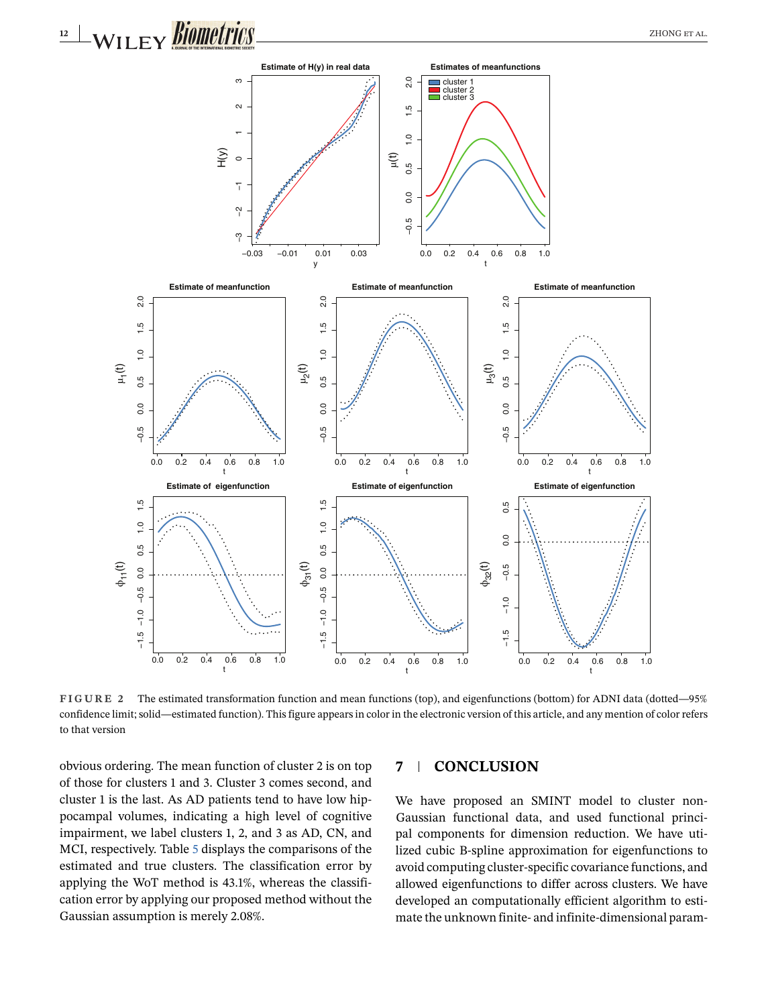<span id="page-11-0"></span>

**FIGURE 2** The estimated transformation function and mean functions (top), and eigenfunctions (bottom) for ADNI data (dotted—95% confidence limit; solid—estimated function). This figure appears in color in the electronic version of this article, and any mention of color refers to that version

obvious ordering. The mean function of cluster 2 is on top of those for clusters 1 and 3. Cluster 3 comes second, and cluster 1 is the last. As AD patients tend to have low hippocampal volumes, indicating a high level of cognitive impairment, we label clusters 1, 2, and 3 as AD, CN, and MCI, respectively. Table [5](#page-10-0) displays the comparisons of the estimated and true clusters. The classification error by applying the WoT method is 43.1%, whereas the classification error by applying our proposed method without the Gaussian assumption is merely 2.08%.

### **7 CONCLUSION**

We have proposed an SMINT model to cluster non-Gaussian functional data, and used functional principal components for dimension reduction. We have utilized cubic B-spline approximation for eigenfunctions to avoid computing cluster-specific covariance functions, and allowed eigenfunctions to differ across clusters. We have developed an computationally efficient algorithm to estimate the unknown finite- and infinite-dimensional param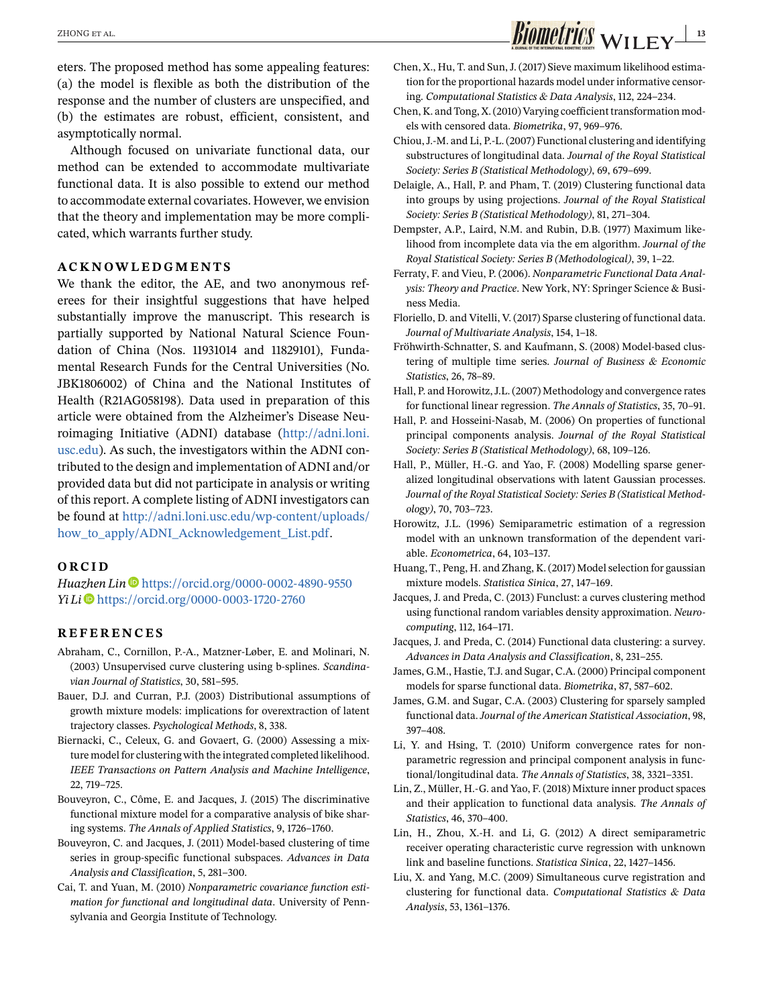eters. The proposed method has some appealing features: (a) the model is flexible as both the distribution of the response and the number of clusters are unspecified, and (b) the estimates are robust, efficient, consistent, and asymptotically normal.

Although focused on univariate functional data, our method can be extended to accommodate multivariate functional data. It is also possible to extend our method to accommodate external covariates. However, we envision that the theory and implementation may be more complicated, which warrants further study.

### **ACKNOWLEDGMENTS**

We thank the editor, the AE, and two anonymous referees for their insightful suggestions that have helped substantially improve the manuscript. This research is partially supported by National Natural Science Foundation of China (Nos. 11931014 and 11829101), Fundamental Research Funds for the Central Universities (No. JBK1806002) of China and the National Institutes of Health (R21AG058198). Data used in preparation of this article were obtained from the Alzheimer's Disease Neuroimaging Initiative (ADNI) database [\(http://adni.loni.](http://adni.loni.usc.edu) [usc.edu\)](http://adni.loni.usc.edu). As such, the investigators within the ADNI contributed to the design and implementation of ADNI and/or provided data but did not participate in analysis or writing of this report. A complete listing of ADNI investigators can be found at [http://adni.loni.usc.edu/wp-content/uploads/](http://adni.loni.usc.edu/wp-content/uploads/how_to_apply/ADNI_Acknowledgement_List.pdf) [how\\_to\\_apply/ADNI\\_Acknowledgement\\_List.pdf.](http://adni.loni.usc.edu/wp-content/uploads/how_to_apply/ADNI_Acknowledgement_List.pdf)

#### **ORCID**

*Huazhen Lin* D<https://orcid.org/0000-0002-4890-9550> *Yi Li* <https://orcid.org/0000-0003-1720-2760>

#### **REFERENCES**

- Abraham, C., Cornillon, P.-A., Matzner-Løber, E. and Molinari, N. (2003) Unsupervised curve clustering using b-splines. *Scandinavian Journal of Statistics*, 30, 581–595.
- Bauer, D.J. and Curran, P.J. (2003) Distributional assumptions of growth mixture models: implications for overextraction of latent trajectory classes. *Psychological Methods*, 8, 338.
- Biernacki, C., Celeux, G. and Govaert, G. (2000) Assessing a mixture model for clustering with the integrated completed likelihood. *IEEE Transactions on Pattern Analysis and Machine Intelligence*, 22, 719–725.
- Bouveyron, C., Côme, E. and Jacques, J. (2015) The discriminative functional mixture model for a comparative analysis of bike sharing systems. *The Annals of Applied Statistics*, 9, 1726–1760.
- Bouveyron, C. and Jacques, J. (2011) Model-based clustering of time series in group-specific functional subspaces. *Advances in Data Analysis and Classification*, 5, 281–300.
- Cai, T. and Yuan, M. (2010) *Nonparametric covariance function estimation for functional and longitudinal data*. University of Pennsylvania and Georgia Institute of Technology.
- Chen, X., Hu, T. and Sun, J. (2017) Sieve maximum likelihood estimation for the proportional hazards model under informative censoring. *Computational Statistics & Data Analysis*, 112, 224–234.
- Chen, K. and Tong, X. (2010) Varying coefficient transformation models with censored data. *Biometrika*, 97, 969–976.
- Chiou, J.-M. and Li, P.-L. (2007) Functional clustering and identifying substructures of longitudinal data. *Journal of the Royal Statistical Society: Series B (Statistical Methodology)*, 69, 679–699.
- Delaigle, A., Hall, P. and Pham, T. (2019) Clustering functional data into groups by using projections. *Journal of the Royal Statistical Society: Series B (Statistical Methodology)*, 81, 271–304.
- Dempster, A.P., Laird, N.M. and Rubin, D.B. (1977) Maximum likelihood from incomplete data via the em algorithm. *Journal of the Royal Statistical Society: Series B (Methodological)*, 39, 1–22.
- Ferraty, F. and Vieu, P. (2006). *Nonparametric Functional Data Analysis: Theory and Practice*. New York, NY: Springer Science & Business Media.
- Floriello, D. and Vitelli, V. (2017) Sparse clustering of functional data. *Journal of Multivariate Analysis*, 154, 1–18.
- Fröhwirth-Schnatter, S. and Kaufmann, S. (2008) Model-based clustering of multiple time series. *Journal of Business & Economic Statistics*, 26, 78–89.
- Hall, P. and Horowitz, J.L. (2007) Methodology and convergence rates for functional linear regression. *The Annals of Statistics*, 35, 70–91.
- Hall, P. and Hosseini-Nasab, M. (2006) On properties of functional principal components analysis. *Journal of the Royal Statistical Society: Series B (Statistical Methodology)*, 68, 109–126.
- Hall, P., Müller, H.-G. and Yao, F. (2008) Modelling sparse generalized longitudinal observations with latent Gaussian processes. *Journal of the Royal Statistical Society: Series B (Statistical Methodology)*, 70, 703–723.
- Horowitz, J.L. (1996) Semiparametric estimation of a regression model with an unknown transformation of the dependent variable. *Econometrica*, 64, 103–137.
- Huang, T., Peng, H. and Zhang, K. (2017) Model selection for gaussian mixture models. *Statistica Sinica*, 27, 147–169.
- Jacques, J. and Preda, C. (2013) Funclust: a curves clustering method using functional random variables density approximation. *Neurocomputing*, 112, 164–171.
- Jacques, J. and Preda, C. (2014) Functional data clustering: a survey. *Advances in Data Analysis and Classification*, 8, 231–255.
- James, G.M., Hastie, T.J. and Sugar, C.A. (2000) Principal component models for sparse functional data. *Biometrika*, 87, 587–602.
- James, G.M. and Sugar, C.A. (2003) Clustering for sparsely sampled functional data.*Journal of the American Statistical Association*, 98, 397–408.
- Li, Y. and Hsing, T. (2010) Uniform convergence rates for nonparametric regression and principal component analysis in functional/longitudinal data. *The Annals of Statistics*, 38, 3321–3351.
- Lin, Z., Müller, H.-G. and Yao, F. (2018) Mixture inner product spaces and their application to functional data analysis. *The Annals of Statistics*, 46, 370–400.
- Lin, H., Zhou, X.-H. and Li, G. (2012) A direct semiparametric receiver operating characteristic curve regression with unknown link and baseline functions. *Statistica Sinica*, 22, 1427–1456.
- Liu, X. and Yang, M.C. (2009) Simultaneous curve registration and clustering for functional data. *Computational Statistics & Data Analysis*, 53, 1361–1376.